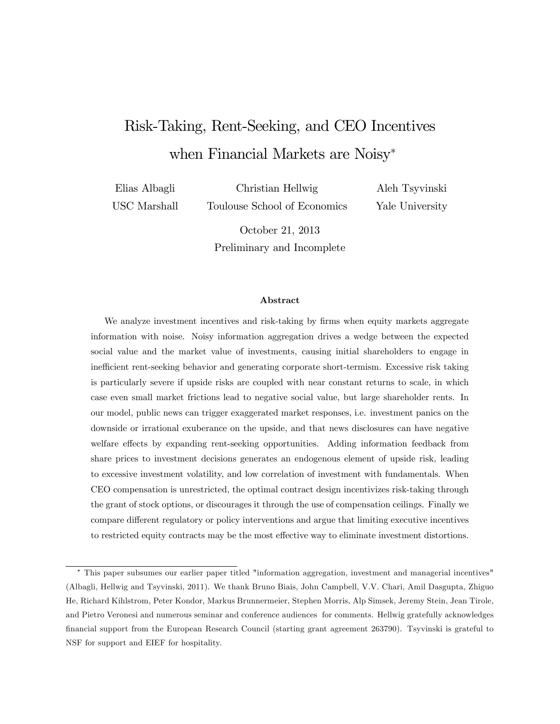# Risk-Taking, Rent-Seeking, and CEO Incentives when Financial Markets are Noisy<sup>\*</sup>

Elias Albagli USC Marshall

Christian Hellwig Toulouse School of Economics Aleh Tsyvinski Yale University

October 21, 2013 Preliminary and Incomplete

#### Abstract

We analyze investment incentives and risk-taking by firms when equity markets aggregate information with noise. Noisy information aggregation drives a wedge between the expected social value and the market value of investments, causing initial shareholders to engage in inefficient rent-seeking behavior and generating corporate short-termism. Excessive risk taking is particularly severe if upside risks are coupled with near constant returns to scale, in which case even small market frictions lead to negative social value, but large shareholder rents. In our model, public news can trigger exaggerated market responses, i.e. investment panics on the downside or irrational exuberance on the upside, and that news disclosures can have negative welfare effects by expanding rent-seeking opportunities. Adding information feedback from share prices to investment decisions generates an endogenous element of upside risk, leading to excessive investment volatility, and low correlation of investment with fundamentals. When CEO compensation is unrestricted, the optimal contract design incentivizes risk-taking through the grant of stock options, or discourages it through the use of compensation ceilings. Finally we compare different regulatory or policy interventions and argue that limiting executive incentives to restricted equity contracts may be the most effective way to eliminate investment distortions.

This paper subsumes our earlier paper titled "information aggregation, investment and managerial incentives" (Albagli, Hellwig and Tsyvinski, 2011). We thank Bruno Biais, John Campbell, V.V. Chari, Amil Dasgupta, Zhiguo He, Richard Kihlstrom, Peter Kondor, Markus Brunnermeier, Stephen Morris, Alp Simsek, Jeremy Stein, Jean Tirole, and Pietro Veronesi and numerous seminar and conference audiences for comments. Hellwig gratefully acknowledges Önancial support from the European Research Council (starting grant agreement 263790). Tsyvinski is grateful to NSF for support and EIEF for hospitality.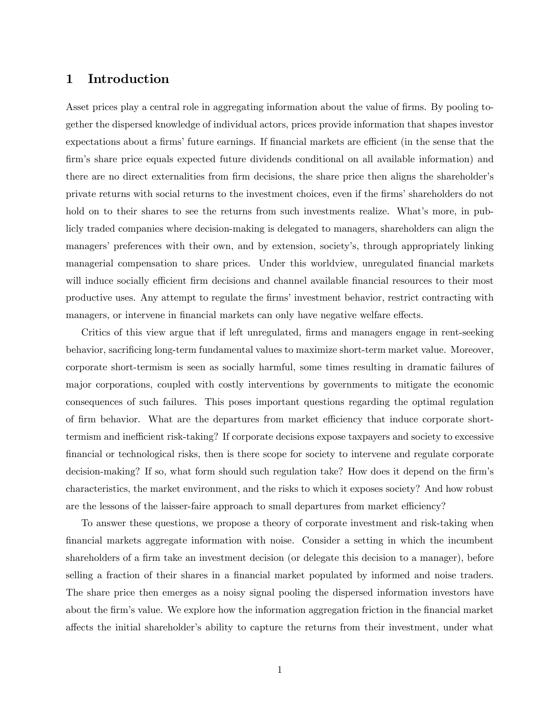### 1 Introduction

Asset prices play a central role in aggregating information about the value of firms. By pooling together the dispersed knowledge of individual actors, prices provide information that shapes investor expectations about a firms' future earnings. If financial markets are efficient (in the sense that the firm's share price equals expected future dividends conditional on all available information) and there are no direct externalities from firm decisions, the share price then aligns the shareholder's private returns with social returns to the investment choices, even if the firms' shareholders do not hold on to their shares to see the returns from such investments realize. What's more, in publicly traded companies where decision-making is delegated to managers, shareholders can align the managers' preferences with their own, and by extension, society's, through appropriately linking managerial compensation to share prices. Under this worldview, unregulated financial markets will induce socially efficient firm decisions and channel available financial resources to their most productive uses. Any attempt to regulate the firms' investment behavior, restrict contracting with managers, or intervene in financial markets can only have negative welfare effects.

Critics of this view argue that if left unregulated, firms and managers engage in rent-seeking behavior, sacrificing long-term fundamental values to maximize short-term market value. Moreover, corporate short-termism is seen as socially harmful, some times resulting in dramatic failures of major corporations, coupled with costly interventions by governments to mitigate the economic consequences of such failures. This poses important questions regarding the optimal regulation of firm behavior. What are the departures from market efficiency that induce corporate shorttermism and inefficient risk-taking? If corporate decisions expose taxpayers and society to excessive financial or technological risks, then is there scope for society to intervene and regulate corporate decision-making? If so, what form should such regulation take? How does it depend on the firm's characteristics, the market environment, and the risks to which it exposes society? And how robust are the lessons of the laisser-faire approach to small departures from market efficiency?

To answer these questions, we propose a theory of corporate investment and risk-taking when Önancial markets aggregate information with noise. Consider a setting in which the incumbent shareholders of a firm take an investment decision (or delegate this decision to a manager), before selling a fraction of their shares in a financial market populated by informed and noise traders. The share price then emerges as a noisy signal pooling the dispersed information investors have about the firm's value. We explore how the information aggregation friction in the financial market affects the initial shareholder's ability to capture the returns from their investment, under what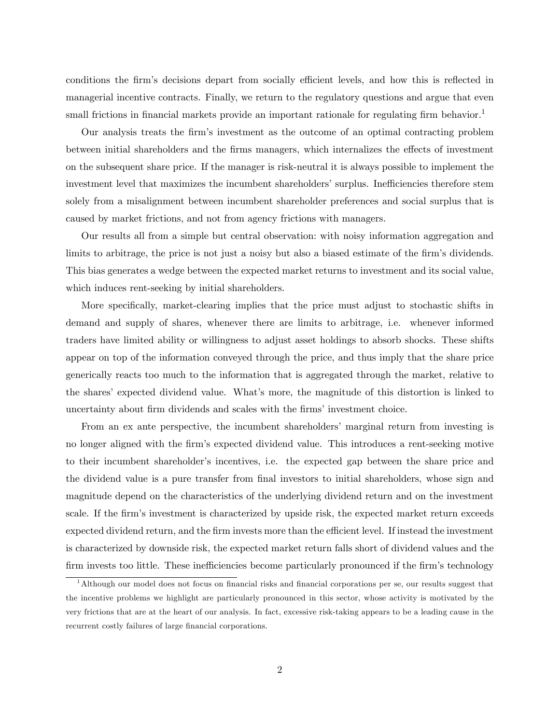conditions the firm's decisions depart from socially efficient levels, and how this is reflected in managerial incentive contracts. Finally, we return to the regulatory questions and argue that even small frictions in financial markets provide an important rationale for regulating firm behavior.<sup>1</sup>

Our analysis treats the firm's investment as the outcome of an optimal contracting problem between initial shareholders and the firms managers, which internalizes the effects of investment on the subsequent share price. If the manager is risk-neutral it is always possible to implement the investment level that maximizes the incumbent shareholders' surplus. Inefficiencies therefore stem solely from a misalignment between incumbent shareholder preferences and social surplus that is caused by market frictions, and not from agency frictions with managers.

Our results all from a simple but central observation: with noisy information aggregation and limits to arbitrage, the price is not just a noisy but also a biased estimate of the firm's dividends. This bias generates a wedge between the expected market returns to investment and its social value, which induces rent-seeking by initial shareholders.

More specifically, market-clearing implies that the price must adjust to stochastic shifts in demand and supply of shares, whenever there are limits to arbitrage, i.e. whenever informed traders have limited ability or willingness to adjust asset holdings to absorb shocks. These shifts appear on top of the information conveyed through the price, and thus imply that the share price generically reacts too much to the information that is aggregated through the market, relative to the shares' expected dividend value. What's more, the magnitude of this distortion is linked to uncertainty about firm dividends and scales with the firms' investment choice.

From an ex ante perspective, the incumbent shareholders' marginal return from investing is no longer aligned with the firm's expected dividend value. This introduces a rent-seeking motive to their incumbent shareholder's incentives, i.e. the expected gap between the share price and the dividend value is a pure transfer from final investors to initial shareholders, whose sign and magnitude depend on the characteristics of the underlying dividend return and on the investment scale. If the firm's investment is characterized by upside risk, the expected market return exceeds expected dividend return, and the firm invests more than the efficient level. If instead the investment is characterized by downside risk, the expected market return falls short of dividend values and the firm invests too little. These inefficiencies become particularly pronounced if the firm's technology

<sup>&</sup>lt;sup>1</sup>Although our model does not focus on financial risks and financial corporations per se, our results suggest that the incentive problems we highlight are particularly pronounced in this sector, whose activity is motivated by the very frictions that are at the heart of our analysis. In fact, excessive risk-taking appears to be a leading cause in the recurrent costly failures of large financial corporations.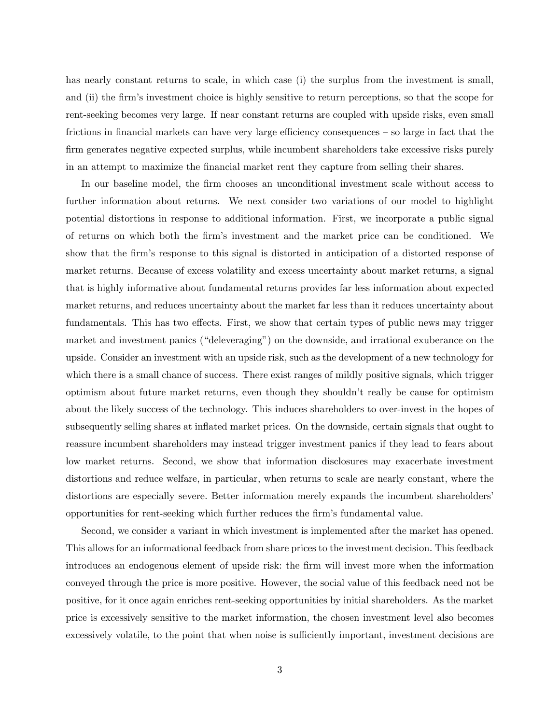has nearly constant returns to scale, in which case (i) the surplus from the investment is small, and (ii) the firm's investment choice is highly sensitive to return perceptions, so that the scope for rent-seeking becomes very large. If near constant returns are coupled with upside risks, even small frictions in financial markets can have very large efficiency consequences  $-$  so large in fact that the firm generates negative expected surplus, while incumbent shareholders take excessive risks purely in an attempt to maximize the Önancial market rent they capture from selling their shares.

In our baseline model, the firm chooses an unconditional investment scale without access to further information about returns. We next consider two variations of our model to highlight potential distortions in response to additional information. First, we incorporate a public signal of returns on which both the Örmís investment and the market price can be conditioned. We show that the firm's response to this signal is distorted in anticipation of a distorted response of market returns. Because of excess volatility and excess uncertainty about market returns, a signal that is highly informative about fundamental returns provides far less information about expected market returns, and reduces uncertainty about the market far less than it reduces uncertainty about fundamentals. This has two effects. First, we show that certain types of public news may trigger market and investment panics ("deleveraging") on the downside, and irrational exuberance on the upside. Consider an investment with an upside risk, such as the development of a new technology for which there is a small chance of success. There exist ranges of mildly positive signals, which trigger optimism about future market returns, even though they shouldnít really be cause for optimism about the likely success of the technology. This induces shareholders to over-invest in the hopes of subsequently selling shares at inflated market prices. On the downside, certain signals that ought to reassure incumbent shareholders may instead trigger investment panics if they lead to fears about low market returns. Second, we show that information disclosures may exacerbate investment distortions and reduce welfare, in particular, when returns to scale are nearly constant, where the distortions are especially severe. Better information merely expands the incumbent shareholders opportunities for rent-seeking which further reduces the Örmís fundamental value.

Second, we consider a variant in which investment is implemented after the market has opened. This allows for an informational feedback from share prices to the investment decision. This feedback introduces an endogenous element of upside risk: the firm will invest more when the information conveyed through the price is more positive. However, the social value of this feedback need not be positive, for it once again enriches rent-seeking opportunities by initial shareholders. As the market price is excessively sensitive to the market information, the chosen investment level also becomes excessively volatile, to the point that when noise is sufficiently important, investment decisions are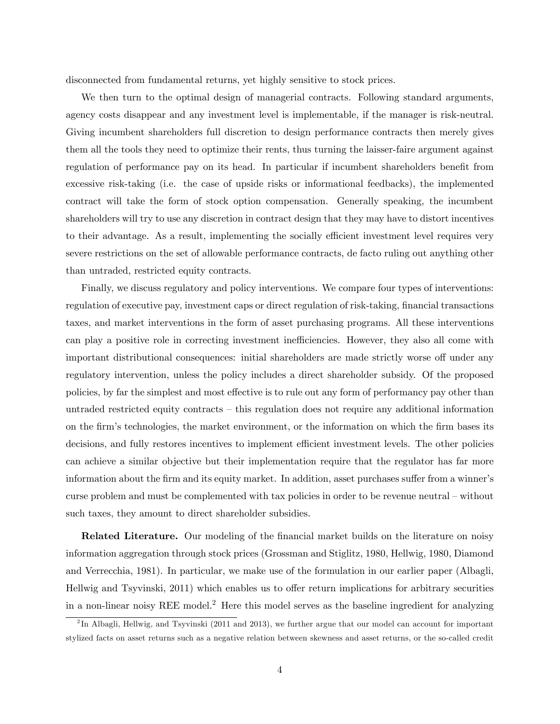disconnected from fundamental returns, yet highly sensitive to stock prices.

We then turn to the optimal design of managerial contracts. Following standard arguments, agency costs disappear and any investment level is implementable, if the manager is risk-neutral. Giving incumbent shareholders full discretion to design performance contracts then merely gives them all the tools they need to optimize their rents, thus turning the laisser-faire argument against regulation of performance pay on its head. In particular if incumbent shareholders benefit from excessive risk-taking (i.e. the case of upside risks or informational feedbacks), the implemented contract will take the form of stock option compensation. Generally speaking, the incumbent shareholders will try to use any discretion in contract design that they may have to distort incentives to their advantage. As a result, implementing the socially efficient investment level requires very severe restrictions on the set of allowable performance contracts, de facto ruling out anything other than untraded, restricted equity contracts.

Finally, we discuss regulatory and policy interventions. We compare four types of interventions: regulation of executive pay, investment caps or direct regulation of risk-taking, financial transactions taxes, and market interventions in the form of asset purchasing programs. All these interventions can play a positive role in correcting investment inefficiencies. However, they also all come with important distributional consequences: initial shareholders are made strictly worse off under any regulatory intervention, unless the policy includes a direct shareholder subsidy. Of the proposed policies, by far the simplest and most effective is to rule out any form of performancy pay other than untraded restricted equity contracts  $-$  this regulation does not require any additional information on the firm's technologies, the market environment, or the information on which the firm bases its decisions, and fully restores incentives to implement efficient investment levels. The other policies can achieve a similar objective but their implementation require that the regulator has far more information about the firm and its equity market. In addition, asset purchases suffer from a winner's curse problem and must be complemented with tax policies in order to be revenue neutral – without such taxes, they amount to direct shareholder subsidies.

**Related Literature.** Our modeling of the financial market builds on the literature on noisy information aggregation through stock prices (Grossman and Stiglitz, 1980, Hellwig, 1980, Diamond and Verrecchia, 1981). In particular, we make use of the formulation in our earlier paper (Albagli, Hellwig and Tsyvinski, 2011) which enables us to offer return implications for arbitrary securities in a non-linear noisy REE model.<sup>2</sup> Here this model serves as the baseline ingredient for analyzing

<sup>&</sup>lt;sup>2</sup>In Albagli, Hellwig, and Tsyvinski (2011 and 2013), we further argue that our model can account for important stylized facts on asset returns such as a negative relation between skewness and asset returns, or the so-called credit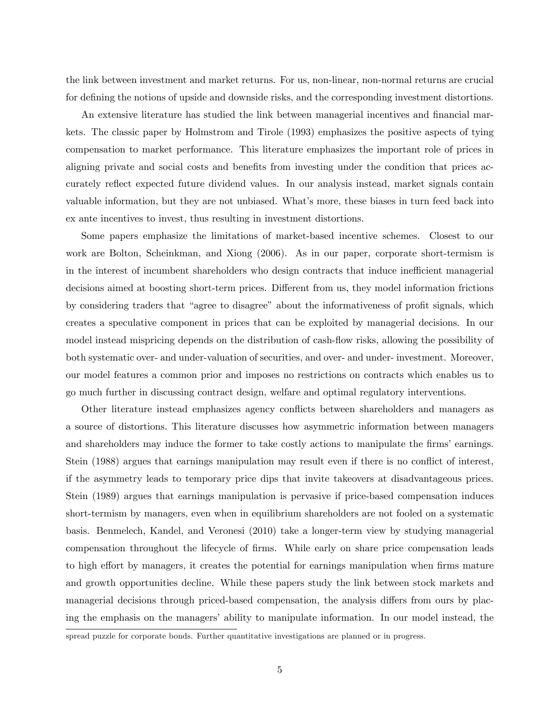the link between investment and market returns. For us, non-linear, non-normal returns are crucial for defining the notions of upside and downside risks, and the corresponding investment distortions.

An extensive literature has studied the link between managerial incentives and financial markets. The classic paper by Holmstrom and Tirole (1993) emphasizes the positive aspects of tying compensation to market performance. This literature emphasizes the important role of prices in aligning private and social costs and benefits from investing under the condition that prices accurately reflect expected future dividend values. In our analysis instead, market signals contain valuable information, but they are not unbiased. What's more, these biases in turn feed back into ex ante incentives to invest, thus resulting in investment distortions.

Some papers emphasize the limitations of market-based incentive schemes. Closest to our work are Bolton, Scheinkman, and Xiong (2006). As in our paper, corporate short-termism is in the interest of incumbent shareholders who design contracts that induce inefficient managerial decisions aimed at boosting short-term prices. Different from us, they model information frictions by considering traders that "agree to disagree" about the informativeness of profit signals, which creates a speculative component in prices that can be exploited by managerial decisions. In our model instead mispricing depends on the distribution of cash-flow risks, allowing the possibility of both systematic over- and under-valuation of securities, and over- and under- investment. Moreover, our model features a common prior and imposes no restrictions on contracts which enables us to go much further in discussing contract design, welfare and optimal regulatory interventions.

Other literature instead emphasizes agency conflicts between shareholders and managers as a source of distortions. This literature discusses how asymmetric information between managers and shareholders may induce the former to take costly actions to manipulate the firms' earnings. Stein (1988) argues that earnings manipulation may result even if there is no conflict of interest, if the asymmetry leads to temporary price dips that invite takeovers at disadvantageous prices. Stein (1989) argues that earnings manipulation is pervasive if price-based compensation induces short-termism by managers, even when in equilibrium shareholders are not fooled on a systematic basis. Benmelech, Kandel, and Veronesi (2010) take a longer-term view by studying managerial compensation throughout the lifecycle of firms. While early on share price compensation leads to high effort by managers, it creates the potential for earnings manipulation when firms mature and growth opportunities decline. While these papers study the link between stock markets and managerial decisions through priced-based compensation, the analysis differs from ours by placing the emphasis on the managers' ability to manipulate information. In our model instead, the

spread puzzle for corporate bonds. Further quantitative investigations are planned or in progress.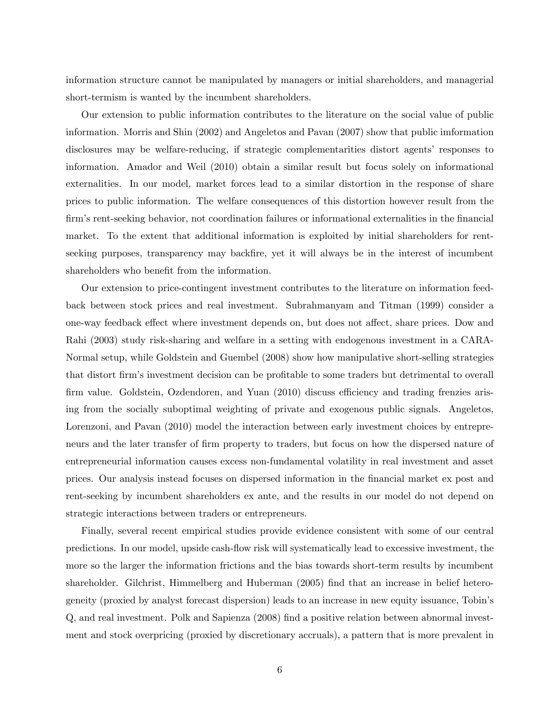information structure cannot be manipulated by managers or initial shareholders, and managerial short-termism is wanted by the incumbent shareholders.

Our extension to public information contributes to the literature on the social value of public information. Morris and Shin (2002) and Angeletos and Pavan (2007) show that public imformation disclosures may be welfare-reducing, if strategic complementarities distort agents' responses to information. Amador and Weil (2010) obtain a similar result but focus solely on informational externalities. In our model, market forces lead to a similar distortion in the response of share prices to public information. The welfare consequences of this distortion however result from the firm's rent-seeking behavior, not coordination failures or informational externalities in the financial market. To the extent that additional information is exploited by initial shareholders for rentseeking purposes, transparency may backfire, yet it will always be in the interest of incumbent shareholders who benefit from the information.

Our extension to price-contingent investment contributes to the literature on information feedback between stock prices and real investment. Subrahmanyam and Titman (1999) consider a one-way feedback effect where investment depends on, but does not affect, share prices. Dow and Rahi (2003) study risk-sharing and welfare in a setting with endogenous investment in a CARA-Normal setup, while Goldstein and Guembel (2008) show how manipulative short-selling strategies that distort firm's investment decision can be profitable to some traders but detrimental to overall firm value. Goldstein, Ozdendoren, and Yuan (2010) discuss efficiency and trading frenzies arising from the socially suboptimal weighting of private and exogenous public signals. Angeletos, Lorenzoni, and Pavan (2010) model the interaction between early investment choices by entrepreneurs and the later transfer of firm property to traders, but focus on how the dispersed nature of entrepreneurial information causes excess non-fundamental volatility in real investment and asset prices. Our analysis instead focuses on dispersed information in the Önancial market ex post and rent-seeking by incumbent shareholders ex ante, and the results in our model do not depend on strategic interactions between traders or entrepreneurs.

Finally, several recent empirical studies provide evidence consistent with some of our central predictions. In our model, upside cash-áow risk will systematically lead to excessive investment, the more so the larger the information frictions and the bias towards short-term results by incumbent shareholder. Gilchrist, Himmelberg and Huberman (2005) find that an increase in belief heterogeneity (proxied by analyst forecast dispersion) leads to an increase in new equity issuance, Tobinís Q, and real investment. Polk and Sapienza (2008) Önd a positive relation between abnormal investment and stock overpricing (proxied by discretionary accruals), a pattern that is more prevalent in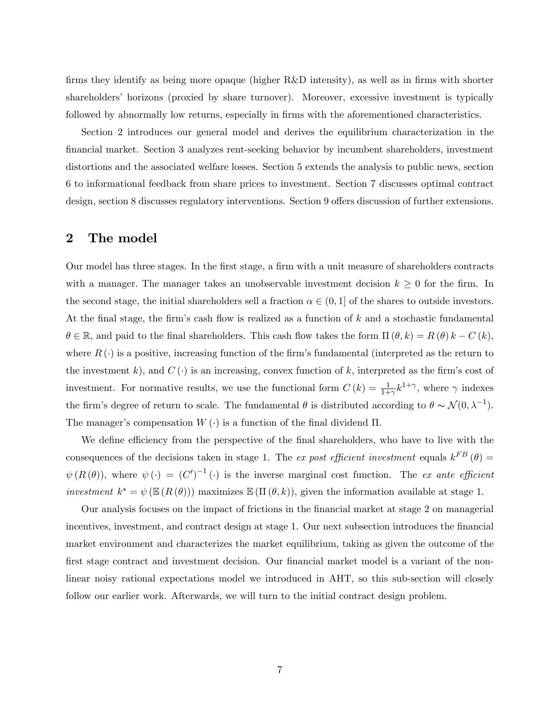firms they identify as being more opaque (higher  $R&D$  intensity), as well as in firms with shorter shareholders' horizons (proxied by share turnover). Moreover, excessive investment is typically followed by abnormally low returns, especially in firms with the aforementioned characteristics.

Section 2 introduces our general model and derives the equilibrium characterization in the Önancial market. Section 3 analyzes rent-seeking behavior by incumbent shareholders, investment distortions and the associated welfare losses. Section 5 extends the analysis to public news, section 6 to informational feedback from share prices to investment. Section 7 discusses optimal contract design, section 8 discusses regulatory interventions. Section 9 offers discussion of further extensions.

### 2 The model

Our model has three stages. In the first stage, a firm with a unit measure of shareholders contracts with a manager. The manager takes an unobservable investment decision  $k \geq 0$  for the firm. In the second stage, the initial shareholders sell a fraction  $\alpha \in (0, 1]$  of the shares to outside investors. At the final stage, the firm's cash flow is realized as a function of  $k$  and a stochastic fundamental  $\theta \in \mathbb{R}$ , and paid to the final shareholders. This cash flow takes the form  $\Pi(\theta, k) = R(\theta) k - C(k)$ , where  $R(\cdot)$  is a positive, increasing function of the firm's fundamental (interpreted as the return to the investment k), and  $C(\cdot)$  is an increasing, convex function of k, interpreted as the firm's cost of investment. For normative results, we use the functional form  $C(k) = \frac{1}{1+\gamma} k^{1+\gamma}$ , where  $\gamma$  indexes the firm's degree of return to scale. The fundamental  $\theta$  is distributed according to  $\theta \sim \mathcal{N}(0, \lambda^{-1})$ . The manager's compensation  $W(\cdot)$  is a function of the final dividend  $\Pi$ .

We define efficiency from the perspective of the final shareholders, who have to live with the consequences of the decisions taken in stage 1. The ex post efficient investment equals  $k^{FB}(\theta) =$  $\psi(R(\theta))$ , where  $\psi(\cdot) = (C')^{-1}(\cdot)$  is the inverse marginal cost function. The ex ante efficient investment  $k^* = \psi(\mathbb{E}(R(\theta)))$  maximizes  $\mathbb{E}(\Pi(\theta, k))$ , given the information available at stage 1.

Our analysis focuses on the impact of frictions in the Önancial market at stage 2 on managerial incentives, investment, and contract design at stage 1. Our next subsection introduces the financial market environment and characterizes the market equilibrium, taking as given the outcome of the first stage contract and investment decision. Our financial market model is a variant of the nonlinear noisy rational expectations model we introduced in AHT, so this sub-section will closely follow our earlier work. Afterwards, we will turn to the initial contract design problem.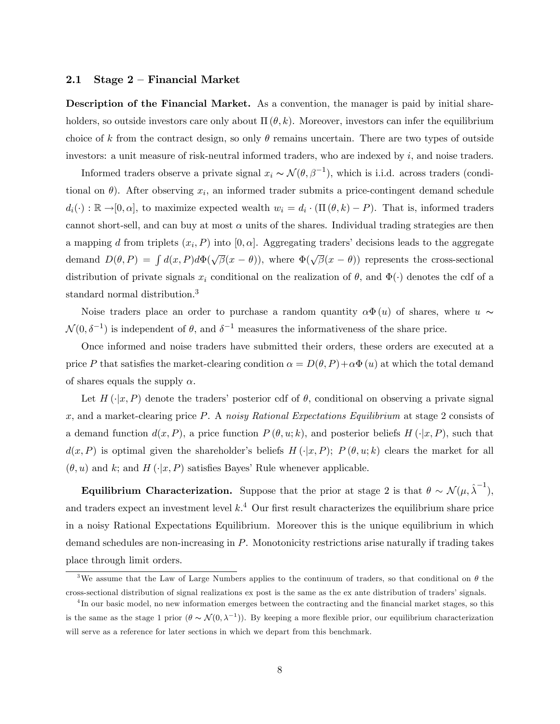### 2.1 Stage  $2$  – Financial Market

Description of the Financial Market. As a convention, the manager is paid by initial shareholders, so outside investors care only about  $\Pi(\theta, k)$ . Moreover, investors can infer the equilibrium choice of k from the contract design, so only  $\theta$  remains uncertain. There are two types of outside investors: a unit measure of risk-neutral informed traders, who are indexed by  $i$ , and noise traders.

Informed traders observe a private signal  $x_i \sim \mathcal{N}(\theta, \beta^{-1})$ , which is i.i.d. across traders (conditional on  $\theta$ ). After observing  $x_i$ , an informed trader submits a price-contingent demand schedule  $d_i(\cdot) : \mathbb{R} \to [0, \alpha]$ , to maximize expected wealth  $w_i = d_i \cdot (\Pi(\theta, k) - P)$ . That is, informed traders cannot short-sell, and can buy at most  $\alpha$  units of the shares. Individual trading strategies are then a mapping d from triplets  $(x_i, P)$  into  $[0, \alpha]$ . Aggregating traders' decisions leads to the aggregate demand  $D(\theta, P) = \int d(x, P) d\Phi(\sqrt{\beta}(x - \theta))$ , where  $\Phi(\sqrt{\beta}(x - \theta))$  represents the cross-sectional distribution of private signals  $x_i$  conditional on the realization of  $\theta$ , and  $\Phi(\cdot)$  denotes the cdf of a standard normal distribution.<sup>3</sup>

Noise traders place an order to purchase a random quantity  $\alpha \Phi(u)$  of shares, where  $u \sim$  $\mathcal{N}(0, \delta^{-1})$  is independent of  $\theta$ , and  $\delta^{-1}$  measures the informativeness of the share price.

Once informed and noise traders have submitted their orders, these orders are executed at a price P that satisfies the market-clearing condition  $\alpha = D(\theta, P) + \alpha \Phi(u)$  at which the total demand of shares equals the supply  $\alpha$ .

Let  $H(\cdot|x, P)$  denote the traders' posterior cdf of  $\theta$ , conditional on observing a private signal x, and a market-clearing price P. A noisy Rational Expectations Equilibrium at stage 2 consists of a demand function  $d(x, P)$ , a price function  $P(\theta, u; k)$ , and posterior beliefs  $H(\cdot|x, P)$ , such that  $d(x, P)$  is optimal given the shareholder's beliefs  $H(\cdot|x, P); P(\theta, u; k)$  clears the market for all  $(\theta, u)$  and k; and H  $(\cdot|x, P)$  satisfies Bayes' Rule whenever applicable.

Equilibrium Characterization. Suppose that the prior at stage 2 is that  $\theta \sim \mathcal{N}(\mu, \hat{\lambda}^{-1}),$ and traders expect an investment level  $k<sup>4</sup>$  Our first result characterizes the equilibrium share price in a noisy Rational Expectations Equilibrium. Moreover this is the unique equilibrium in which demand schedules are non-increasing in  $P$ . Monotonicity restrictions arise naturally if trading takes place through limit orders.

<sup>&</sup>lt;sup>3</sup>We assume that the Law of Large Numbers applies to the continuum of traders, so that conditional on  $\theta$  the cross-sectional distribution of signal realizations ex post is the same as the ex ante distribution of tradersísignals.

<sup>&</sup>lt;sup>4</sup>In our basic model, no new information emerges between the contracting and the financial market stages, so this is the same as the stage 1 prior  $(\theta \sim \mathcal{N}(0, \lambda^{-1}))$ . By keeping a more flexible prior, our equilibrium characterization will serve as a reference for later sections in which we depart from this benchmark.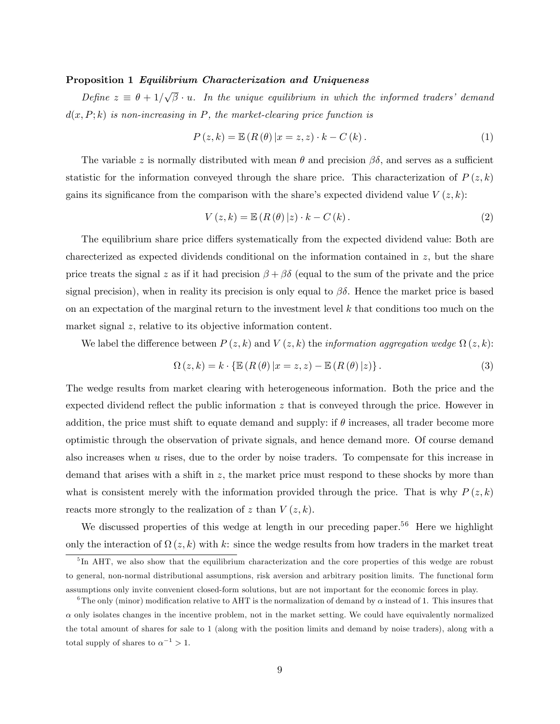### Proposition 1 Equilibrium Characterization and Uniqueness

Define  $z \equiv \theta + 1/\sqrt{\beta} \cdot u$ . In the unique equilibrium in which the informed traders' demand  $d(x, P; k)$  is non-increasing in P, the market-clearing price function is

$$
P(z,k) = \mathbb{E}\left(R\left(\theta\right)|x=z,z\right) \cdot k - C\left(k\right). \tag{1}
$$

The variable z is normally distributed with mean  $\theta$  and precision  $\beta\delta$ , and serves as a sufficient statistic for the information conveyed through the share price. This characterization of  $P(z, k)$ gains its significance from the comparison with the share's expected dividend value  $V(z, k)$ :

$$
V(z,k) = \mathbb{E}\left(R\left(\theta\right)|z\right) \cdot k - C\left(k\right). \tag{2}
$$

The equilibrium share price differs systematically from the expected dividend value: Both are charecterized as expected dividends conditional on the information contained in z, but the share price treats the signal z as if it had precision  $\beta + \beta \delta$  (equal to the sum of the private and the price signal precision), when in reality its precision is only equal to  $\beta\delta$ . Hence the market price is based on an expectation of the marginal return to the investment level  $k$  that conditions too much on the market signal z, relative to its objective information content.

We label the difference between  $P(z, k)$  and  $V(z, k)$  the *information aggregation wedge*  $\Omega(z, k)$ :

$$
\Omega(z,k) = k \cdot \{ \mathbb{E} \left( R \left( \theta \right) \vert x = z, z \right) - \mathbb{E} \left( R \left( \theta \right) \vert z \right) \}.
$$
\n(3)

The wedge results from market clearing with heterogeneous information. Both the price and the expected dividend reflect the public information  $z$  that is conveyed through the price. However in addition, the price must shift to equate demand and supply: if  $\theta$  increases, all trader become more optimistic through the observation of private signals, and hence demand more. Of course demand also increases when u rises, due to the order by noise traders. To compensate for this increase in demand that arises with a shift in  $z$ , the market price must respond to these shocks by more than what is consistent merely with the information provided through the price. That is why  $P(z, k)$ reacts more strongly to the realization of z than  $V(z, k)$ .

We discussed properties of this wedge at length in our preceding paper.<sup>56</sup> Here we highlight only the interaction of  $\Omega(z, k)$  with k: since the wedge results from how traders in the market treat

<sup>&</sup>lt;sup>5</sup>In AHT, we also show that the equilibrium characterization and the core properties of this wedge are robust to general, non-normal distributional assumptions, risk aversion and arbitrary position limits. The functional form assumptions only invite convenient closed-form solutions, but are not important for the economic forces in play.

<sup>&</sup>lt;sup>6</sup>The only (minor) modification relative to AHT is the normalization of demand by  $\alpha$  instead of 1. This insures that  $\alpha$  only isolates changes in the incentive problem, not in the market setting. We could have equivalently normalized the total amount of shares for sale to 1 (along with the position limits and demand by noise traders), along with a total supply of shares to  $\alpha^{-1} > 1$ .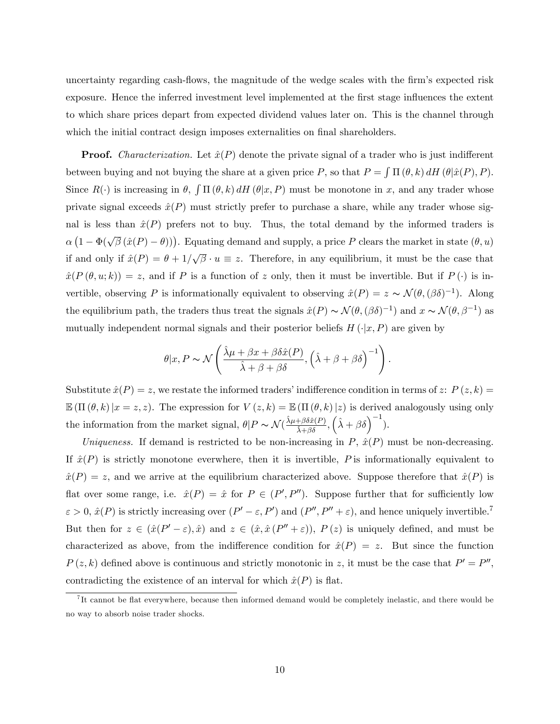uncertainty regarding cash-flows, the magnitude of the wedge scales with the firm's expected risk exposure. Hence the inferred investment level implemented at the first stage influences the extent to which share prices depart from expected dividend values later on. This is the channel through which the initial contract design imposes externalities on final shareholders.

**Proof.** Characterization. Let  $\hat{x}(P)$  denote the private signal of a trader who is just indifferent between buying and not buying the share at a given price P, so that  $P = \int \Pi(\theta, k) dH(\theta|\hat{x}(P), P)$ . Since  $R(\cdot)$  is increasing in  $\theta$ ,  $\int \Pi(\theta, k) dH(\theta | x, P)$  must be monotone in x, and any trader whose private signal exceeds  $\hat{x}(P)$  must strictly prefer to purchase a share, while any trader whose signal is less than  $\hat{x}(P)$  prefers not to buy. Thus, the total demand by the informed traders is  $\alpha(1 - \Phi(\sqrt{\beta}(\hat{x}(P) - \theta)))$ . Equating demand and supply, a price P clears the market in state  $(\theta, u)$ if and only if  $\hat{x}(P) = \theta + 1/\sqrt{\beta} \cdot u \equiv z$ . Therefore, in any equilibrium, it must be the case that  $\hat{x}(P(\theta, u; k)) = z$ , and if P is a function of z only, then it must be invertible. But if  $P(\cdot)$  is invertible, observing P is informationally equivalent to observing  $\hat{x}(P) = z \sim \mathcal{N}(\theta, (\beta \delta)^{-1})$ . Along the equilibrium path, the traders thus treat the signals  $\hat{x}(P) \sim \mathcal{N}(\theta, (\beta \delta)^{-1})$  and  $x \sim \mathcal{N}(\theta, \beta^{-1})$  as mutually independent normal signals and their posterior beliefs  $H(\cdot|x, P)$  are given by

$$
\theta | x, P \sim \mathcal{N}\left(\frac{\hat{\lambda}\mu + \beta x + \beta \delta \hat{x}(P)}{\hat{\lambda} + \beta + \beta \delta}, \left(\hat{\lambda} + \beta + \beta \delta\right)^{-1}\right).
$$

Substitute  $\hat{x}(P) = z$ , we restate the informed traders' indifference condition in terms of z:  $P (z, k) =$  $\mathbb{E}(\Pi(\theta, k)|x = z, z)$ . The expression for  $V(z, k) = \mathbb{E}(\Pi(\theta, k)|z)$  is derived analogously using only the information from the market signal,  $\theta | P \sim \mathcal{N}(\frac{\hat{\lambda}\mu + \beta \delta \hat{x}(P)}{\hat{\lambda} + \beta \delta}, {\hat{\lambda} + \beta \delta})^{-1}$ .

Uniqueness. If demand is restricted to be non-increasing in  $P$ ,  $\hat{x}(P)$  must be non-decreasing. If  $\hat{x}(P)$  is strictly monotone everwhere, then it is invertible, P is informationally equivalent to  $\hat{x}(P) = z$ , and we arrive at the equilibrium characterized above. Suppose therefore that  $\hat{x}(P)$  is flat over some range, i.e.  $\hat{x}(P) = \hat{x}$  for  $P \in (P', P'')$ . Suppose further that for sufficiently low  $\varepsilon > 0$ ,  $\hat{x}(P)$  is strictly increasing over  $(P' - \varepsilon, P')$  and  $(P'', P'' + \varepsilon)$ , and hence uniquely invertible.<sup>7</sup> But then for  $z \in (\hat{x}(P' - \varepsilon), \hat{x})$  and  $z \in (\hat{x}, \hat{x}(P'' + \varepsilon))$ ,  $P(z)$  is uniquely defined, and must be characterized as above, from the indifference condition for  $\hat{x}(P) = z$ . But since the function  $P(z,k)$  defined above is continuous and strictly monotonic in z, it must be the case that  $P' = P''$ , contradicting the existence of an interval for which  $\hat{x}(P)$  is flat.

<sup>&</sup>lt;sup>7</sup>It cannot be flat everywhere, because then informed demand would be completely inelastic, and there would be no way to absorb noise trader shocks.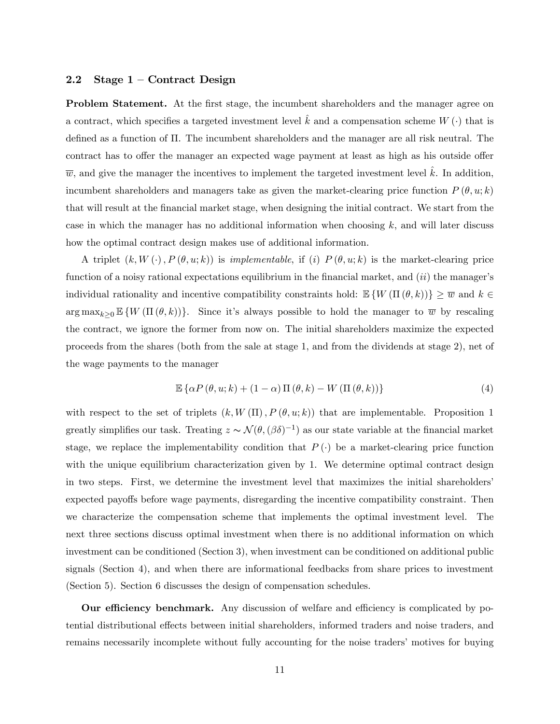### 2.2 Stage  $1 -$  Contract Design

**Problem Statement.** At the first stage, the incumbent shareholders and the manager agree on a contract, which specifies a targeted investment level  $k$  and a compensation scheme  $W(\cdot)$  that is defined as a function of  $\Pi$ . The incumbent shareholders and the manager are all risk neutral. The contract has to offer the manager an expected wage payment at least as high as his outside offer  $\overline{w}$ , and give the manager the incentives to implement the targeted investment level k. In addition, incumbent shareholders and managers take as given the market-clearing price function  $P(\theta, u; k)$ that will result at the Önancial market stage, when designing the initial contract. We start from the case in which the manager has no additional information when choosing  $k$ , and will later discuss how the optimal contract design makes use of additional information.

A triplet  $(k, W(\cdot), P(\theta, u; k))$  is *implementable*, if (i)  $P(\theta, u; k)$  is the market-clearing price function of a noisy rational expectations equilibrium in the financial market, and  $(ii)$  the manager's individual rationality and incentive compatibility constraints hold:  $\mathbb{E}\left\{W\left(\Pi\left(\theta,k\right)\right)\right\} \geq \overline{w}$  and  $k \in$  $\arg \max_{k\geq 0} \mathbb{E}\left\{ W\left( \Pi\left( \theta,k\right) \right)\right\}$ . Since it's always possible to hold the manager to  $\overline{w}$  by rescaling the contract, we ignore the former from now on. The initial shareholders maximize the expected proceeds from the shares (both from the sale at stage 1, and from the dividends at stage 2), net of the wage payments to the manager

$$
\mathbb{E}\left\{\alpha P\left(\theta, u; k\right) + \left(1 - \alpha\right) \Pi\left(\theta, k\right) - W\left(\Pi\left(\theta, k\right)\right)\right\}\right\}
$$
(4)

with respect to the set of triplets  $(k, W(\Pi), P(\theta, u; k))$  that are implementable. Proposition 1 greatly simplifies our task. Treating  $z \sim \mathcal{N}(\theta, (\beta \delta)^{-1})$  as our state variable at the financial market stage, we replace the implementability condition that  $P(\cdot)$  be a market-clearing price function with the unique equilibrium characterization given by 1. We determine optimal contract design in two steps. First, we determine the investment level that maximizes the initial shareholdersí expected payoffs before wage payments, disregarding the incentive compatibility constraint. Then we characterize the compensation scheme that implements the optimal investment level. The next three sections discuss optimal investment when there is no additional information on which investment can be conditioned (Section 3), when investment can be conditioned on additional public signals (Section 4), and when there are informational feedbacks from share prices to investment (Section 5). Section 6 discusses the design of compensation schedules.

Our efficiency benchmark. Any discussion of welfare and efficiency is complicated by potential distributional effects between initial shareholders, informed traders and noise traders, and remains necessarily incomplete without fully accounting for the noise traders' motives for buying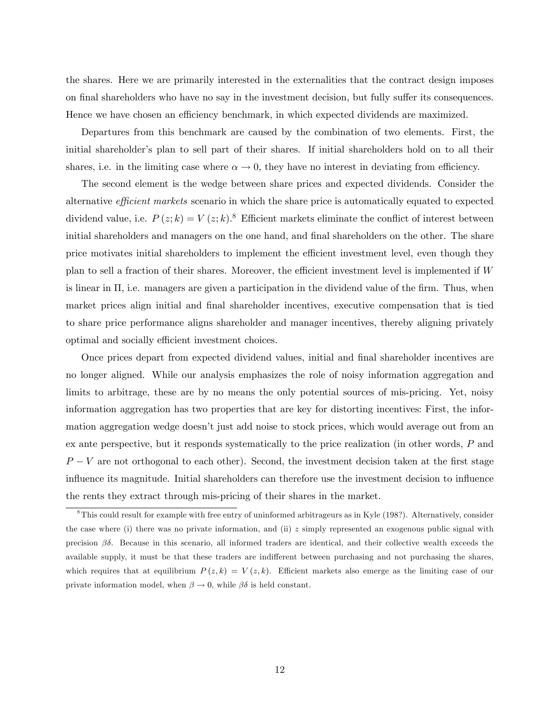the shares. Here we are primarily interested in the externalities that the contract design imposes on final shareholders who have no say in the investment decision, but fully suffer its consequences. Hence we have chosen an efficiency benchmark, in which expected dividends are maximized.

Departures from this benchmark are caused by the combination of two elements. First, the initial shareholder's plan to sell part of their shares. If initial shareholders hold on to all their shares, i.e. in the limiting case where  $\alpha \to 0$ , they have no interest in deviating from efficiency.

The second element is the wedge between share prices and expected dividends. Consider the alternative efficient markets scenario in which the share price is automatically equated to expected dividend value, i.e.  $P(z;k) = V(z;k)$ .<sup>8</sup> Efficient markets eliminate the conflict of interest between initial shareholders and managers on the one hand, and final shareholders on the other. The share price motivates initial shareholders to implement the efficient investment level, even though they plan to sell a fraction of their shares. Moreover, the efficient investment level is implemented if  $W$ is linear in  $\Pi$ , i.e. managers are given a participation in the dividend value of the firm. Thus, when market prices align initial and final shareholder incentives, executive compensation that is tied to share price performance aligns shareholder and manager incentives, thereby aligning privately optimal and socially efficient investment choices.

Once prices depart from expected dividend values, initial and final shareholder incentives are no longer aligned. While our analysis emphasizes the role of noisy information aggregation and limits to arbitrage, these are by no means the only potential sources of mis-pricing. Yet, noisy information aggregation has two properties that are key for distorting incentives: First, the information aggregation wedge doesnít just add noise to stock prices, which would average out from an ex ante perspective, but it responds systematically to the price realization (in other words, P and  $P - V$  are not orthogonal to each other). Second, the investment decision taken at the first stage influence its magnitude. Initial shareholders can therefore use the investment decision to influence the rents they extract through mis-pricing of their shares in the market.

<sup>8</sup>This could result for example with free entry of uninformed arbitrageurs as in Kyle (198?). Alternatively, consider the case where (i) there was no private information, and (ii)  $z$  simply represented an exogenous public signal with precision  $\beta\delta$ . Because in this scenario, all informed traders are identical, and their collective wealth exceeds the available supply, it must be that these traders are indifferent between purchasing and not purchasing the shares, which requires that at equilibrium  $P(z, k) = V(z, k)$ . Efficient markets also emerge as the limiting case of our private information model, when  $\beta \to 0$ , while  $\beta \delta$  is held constant.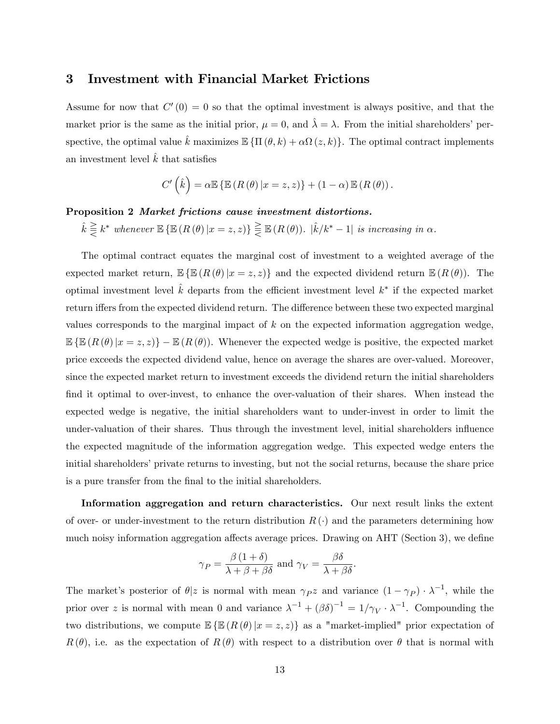# 3 Investment with Financial Market Frictions

Assume for now that  $C'(0) = 0$  so that the optimal investment is always positive, and that the market prior is the same as the initial prior,  $\mu = 0$ , and  $\lambda = \lambda$ . From the initial shareholders' perspective, the optimal value  $\hat{k}$  maximizes  $\mathbb{E} \{ \Pi (\theta, k) + \alpha \Omega (z, k) \}$ . The optimal contract implements an investment level  $k$  that satisfies

$$
C'\left(\hat{k}\right) = \alpha \mathbb{E}\left\{\mathbb{E}\left(R\left(\theta\right)|x=z,z\right)\right\} + \left(1-\alpha\right)\mathbb{E}\left(R\left(\theta\right)\right).
$$

### Proposition 2 Market frictions cause investment distortions.

 $\hat{k} \gtreqqless k^*$  whenever  $\mathbb{E} \left\{ \mathbb{E} \left( R \left( \theta \right) | x = z, z \right) \right\} \gtreqqless \mathbb{E} \left( R \left( \theta \right) \right)$ .  $|\hat{k}/k^* - 1|$  is increasing in  $\alpha$ .

The optimal contract equates the marginal cost of investment to a weighted average of the expected market return,  $\mathbb{E}\left\{\mathbb{E}\left(R\left(\theta\right)|x=z,z\right)\right\}$  and the expected dividend return  $\mathbb{E}\left(R\left(\theta\right)\right)$ . The optimal investment level  $\hat{k}$  departs from the efficient investment level  $k^*$  if the expected market return iffers from the expected dividend return. The difference between these two expected marginal values corresponds to the marginal impact of k on the expected information aggregation wedge,  $\mathbb{E}\left\{\mathbb{E}\left(R\left(\theta\right)|x=z,z\right)\right\}-\mathbb{E}\left(R\left(\theta\right)\right).$  Whenever the expected wedge is positive, the expected market price exceeds the expected dividend value, hence on average the shares are over-valued. Moreover, since the expected market return to investment exceeds the dividend return the initial shareholders find it optimal to over-invest, to enhance the over-valuation of their shares. When instead the expected wedge is negative, the initial shareholders want to under-invest in order to limit the under-valuation of their shares. Thus through the investment level, initial shareholders influence the expected magnitude of the information aggregation wedge. This expected wedge enters the initial shareholders' private returns to investing, but not the social returns, because the share price is a pure transfer from the final to the initial shareholders.

Information aggregation and return characteristics. Our next result links the extent of over- or under-investment to the return distribution  $R(\cdot)$  and the parameters determining how much noisy information aggregation affects average prices. Drawing on AHT (Section 3), we define

$$
\gamma_P = \frac{\beta (1+\delta)}{\lambda + \beta + \beta \delta} \text{ and } \gamma_V = \frac{\beta \delta}{\lambda + \beta \delta}.
$$

The market's posterior of  $\theta | z$  is normal with mean  $\gamma_P z$  and variance  $(1 - \gamma_P) \cdot \lambda^{-1}$ , while the prior over z is normal with mean 0 and variance  $\lambda^{-1} + (\beta \delta)^{-1} = 1/\gamma_V \cdot \lambda^{-1}$ . Compounding the two distributions, we compute  $\mathbb{E}\left\{\mathbb{E}\left(R\left(\theta\right)|x=z,z\right)\right\}$  as a "market-implied" prior expectation of  $R(\theta)$ , i.e. as the expectation of  $R(\theta)$  with respect to a distribution over  $\theta$  that is normal with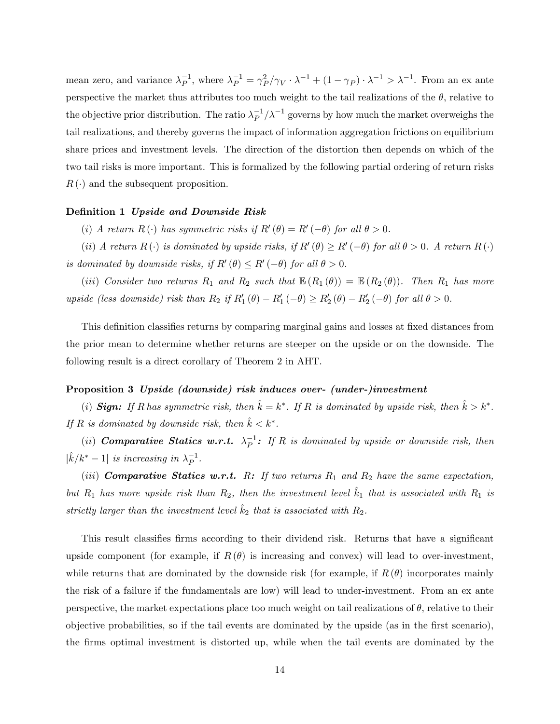mean zero, and variance  $\lambda_P^{-1}$ , where  $\lambda_P^{-1} = \gamma_P^2/\gamma_V \cdot \lambda^{-1} + (1 - \gamma_P) \cdot \lambda^{-1} > \lambda^{-1}$ . From an ex ante perspective the market thus attributes too much weight to the tail realizations of the  $\theta$ , relative to the objective prior distribution. The ratio  $\lambda_P^{-1}/\lambda^{-1}$  governs by how much the market overweighs the tail realizations, and thereby governs the impact of information aggregation frictions on equilibrium share prices and investment levels. The direction of the distortion then depends on which of the two tail risks is more important. This is formalized by the following partial ordering of return risks  $R(\cdot)$  and the subsequent proposition.

#### Definition 1 Upside and Downside Risk

(i) A return  $R(\cdot)$  has symmetric risks if  $R'(\theta) = R'(-\theta)$  for all  $\theta > 0$ .

(ii) A return  $R(\cdot)$  is dominated by upside risks, if  $R'(\theta) \ge R'(-\theta)$  for all  $\theta > 0$ . A return  $R(\cdot)$ is dominated by downside risks, if  $R'(\theta) \le R'(-\theta)$  for all  $\theta > 0$ .

(iii) Consider two returns  $R_1$  and  $R_2$  such that  $\mathbb{E}(R_1(\theta)) = \mathbb{E}(R_2(\theta))$ . Then  $R_1$  has more upside (less downside) risk than  $R_2$  if  $R'_1(\theta) - R'_1(-\theta) \ge R'_2(\theta) - R'_2(-\theta)$  for all  $\theta > 0$ .

This definition classifies returns by comparing marginal gains and losses at fixed distances from the prior mean to determine whether returns are steeper on the upside or on the downside. The following result is a direct corollary of Theorem 2 in AHT.

#### Proposition 3 Upside (downside) risk induces over- (under-)investment

(i) **Sign:** If R has symmetric risk, then  $\hat{k} = k^*$ . If R is dominated by upside risk, then  $\hat{k} > k^*$ . If R is dominated by downside risk, then  $\hat{k} < k^*$ .

(ii) **Comparative Statics w.r.t.**  $\lambda_P^{-1}$ : If R is dominated by upside or downside risk, then  $|\hat{k}/k^* - 1|$  is increasing in  $\lambda_P^{-1}$ .

(iii) **Comparative Statics w.r.t.** R: If two returns  $R_1$  and  $R_2$  have the same expectation, but  $R_1$  has more upside risk than  $R_2$ , then the investment level  $\hat{k}_1$  that is associated with  $R_1$  is strictly larger than the investment level  $\hat{k}_2$  that is associated with  $R_2$ .

This result classifies firms according to their dividend risk. Returns that have a significant upside component (for example, if  $R(\theta)$  is increasing and convex) will lead to over-investment, while returns that are dominated by the downside risk (for example, if  $R(\theta)$  incorporates mainly the risk of a failure if the fundamentals are low) will lead to under-investment. From an ex ante perspective, the market expectations place too much weight on tail realizations of  $\theta$ , relative to their objective probabilities, so if the tail events are dominated by the upside (as in the first scenario), the Örms optimal investment is distorted up, while when the tail events are dominated by the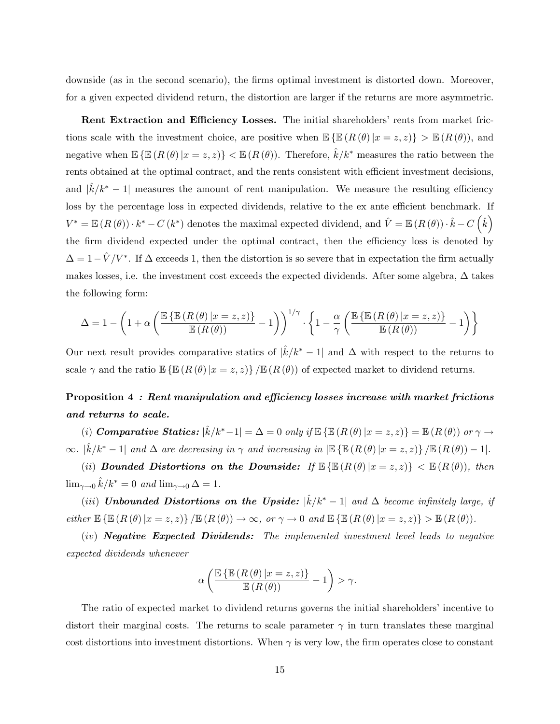downside (as in the second scenario), the firms optimal investment is distorted down. Moreover, for a given expected dividend return, the distortion are larger if the returns are more asymmetric.

Rent Extraction and Efficiency Losses. The initial shareholders' rents from market frictions scale with the investment choice, are positive when  $\mathbb{E}\left\{\mathbb{E}\left(R\left(\theta\right)|x=z,z\right)\right\} > \mathbb{E}\left(R\left(\theta\right)\right),$  and negative when  $\mathbb{E}\left\{\mathbb{E}\left(R\left(\theta\right)|x=z,z\right)\right\}<\mathbb{E}\left(R\left(\theta\right)\right)$ . Therefore,  $\hat{k}/k^*$  measures the ratio between the rents obtained at the optimal contract, and the rents consistent with efficient investment decisions, and  $|\hat{k}/k^* - 1|$  measures the amount of rent manipulation. We measure the resulting efficiency loss by the percentage loss in expected dividends, relative to the ex ante efficient benchmark. If  $V^* = \mathbb{E}\left(R\left(\theta\right)\right) \cdot k^* - C\left(k^*\right)$  denotes the maximal expected dividend, and  $\hat{V} = \mathbb{E}\left(R\left(\theta\right)\right) \cdot \hat{k} - C\left(\hat{k}\right)$ the firm dividend expected under the optimal contract, then the efficiency loss is denoted by  $\Delta = 1 - \hat{V} / V^*$ . If  $\Delta$  exceeds 1, then the distortion is so severe that in expectation the firm actually makes losses, i.e. the investment cost exceeds the expected dividends. After some algebra,  $\Delta$  takes the following form:

$$
\Delta = 1 - \left(1 + \alpha \left(\frac{\mathbb{E}\left\{\mathbb{E}\left(R\left(\theta\right)|x=z,z\right)\right\}}{\mathbb{E}\left(R\left(\theta\right)\right)} - 1\right)\right)^{1/\gamma} \cdot \left\{1 - \frac{\alpha}{\gamma} \left(\frac{\mathbb{E}\left\{\mathbb{E}\left(R\left(\theta\right)|x=z,z\right)\right\}}{\mathbb{E}\left(R\left(\theta\right)\right)} - 1\right)\right\}
$$

Our next result provides comparative statics of  $|\hat{k}/k^* - 1|$  and  $\Delta$  with respect to the returns to scale  $\gamma$  and the ratio  $\mathbb{E}\left\{\mathbb{E}\left(R\left(\theta\right)|x=z,z\right)\right\}/\mathbb{E}\left(R\left(\theta\right)\right)$  of expected market to dividend returns.

# Proposition  $4:$  Rent manipulation and efficiency losses increase with market frictions and returns to scale.

(i) **Comparative Statics:**  $|\hat{k}/k^*-1| = \Delta = 0$  only if  $\mathbb{E} \{ \mathbb{E} (R (\theta) | x = z, z) \} = \mathbb{E} (R (\theta))$  or  $\gamma \to \infty$  $\infty.$   $|\hat{k}/k^*-1|$  and  $\Delta$  are decreasing in  $\gamma$  and increasing in  $|\mathbb{E} \{ \mathbb{E} (R (\theta) | x = z, z) \} / \mathbb{E} (R (\theta)) - 1|$ .

(ii) Bounded Distortions on the Downside: If  $\mathbb{E}\left\{\mathbb{E}\left(R\left(\theta\right)|x=z,z\right)\right\}<\mathbb{E}\left(R\left(\theta\right)\right),\$  then  $\lim_{\gamma \to 0} \hat{k}/k^* = 0$  and  $\lim_{\gamma \to 0} \Delta = 1$ .

(iii) Unbounded Distortions on the Upside:  $|\hat{k}/k^*-1|$  and  $\Delta$  become infinitely large, if  $either \ \mathbb{E}\left\{\mathbb{E}\left(R\left(\theta\right)|x=z,z\right)\right\}/\mathbb{E}\left(R\left(\theta\right)\right)\rightarrow\infty,\ or\ \gamma\rightarrow0\ \ and\ \mathbb{E}\left\{\mathbb{E}\left(R\left(\theta\right)|x=z,z\right)\right\}>\mathbb{E}\left(R\left(\theta\right)\right).$ 

(iv) Negative Expected Dividends: The implemented investment level leads to negative expected dividends whenever

$$
\alpha \left( \frac{\mathbb{E} \left\{ \mathbb{E} \left( R \left( \theta \right) \vert x = z, z \right) \right\}}{\mathbb{E} \left( R \left( \theta \right) \right)} - 1 \right) > \gamma.
$$

The ratio of expected market to dividend returns governs the initial shareholders' incentive to distort their marginal costs. The returns to scale parameter  $\gamma$  in turn translates these marginal cost distortions into investment distortions. When  $\gamma$  is very low, the firm operates close to constant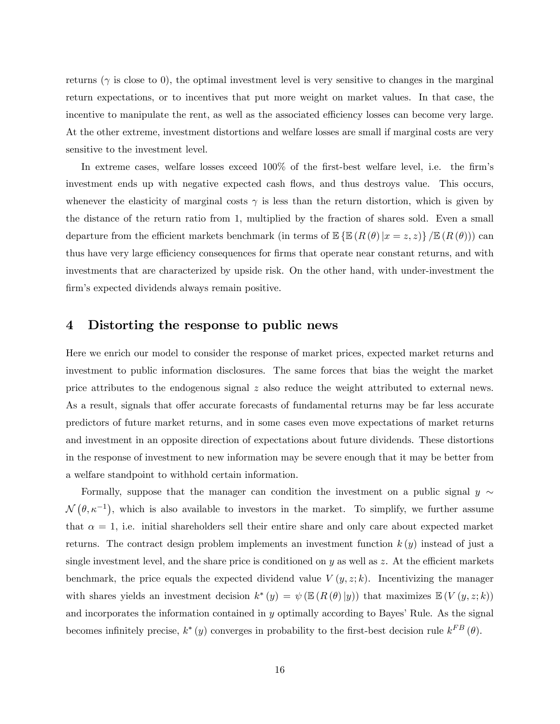returns ( $\gamma$  is close to 0), the optimal investment level is very sensitive to changes in the marginal return expectations, or to incentives that put more weight on market values. In that case, the incentive to manipulate the rent, as well as the associated efficiency losses can become very large. At the other extreme, investment distortions and welfare losses are small if marginal costs are very sensitive to the investment level.

In extreme cases, welfare losses exceed 100% of the first-best welfare level, i.e. the firm's investment ends up with negative expected cash flows, and thus destroys value. This occurs, whenever the elasticity of marginal costs  $\gamma$  is less than the return distortion, which is given by the distance of the return ratio from 1, multiplied by the fraction of shares sold. Even a small departure from the efficient markets benchmark (in terms of  $\mathbb{E}\left\{\mathbb{E}\left(R\left(\theta\right)|x=z,z\right)\right\}/\mathbb{E}\left(R\left(\theta\right)\right)\right\}$  can thus have very large efficiency consequences for firms that operate near constant returns, and with investments that are characterized by upside risk. On the other hand, with under-investment the firm's expected dividends always remain positive.

### 4 Distorting the response to public news

Here we enrich our model to consider the response of market prices, expected market returns and investment to public information disclosures. The same forces that bias the weight the market price attributes to the endogenous signal z also reduce the weight attributed to external news. As a result, signals that offer accurate forecasts of fundamental returns may be far less accurate predictors of future market returns, and in some cases even move expectations of market returns and investment in an opposite direction of expectations about future dividends. These distortions in the response of investment to new information may be severe enough that it may be better from a welfare standpoint to withhold certain information.

Formally, suppose that the manager can condition the investment on a public signal  $y \sim$  $\mathcal{N}(\theta, \kappa^{-1})$ , which is also available to investors in the market. To simplify, we further assume that  $\alpha = 1$ , i.e. initial shareholders sell their entire share and only care about expected market returns. The contract design problem implements an investment function  $k(y)$  instead of just a single investment level, and the share price is conditioned on y as well as z. At the efficient markets benchmark, the price equals the expected dividend value  $V(y, z; k)$ . Incentivizing the manager with shares yields an investment decision  $k^*(y) = \psi(\mathbb{E}(R(\theta)|y))$  that maximizes  $\mathbb{E}(V(y,z;k))$ and incorporates the information contained in  $y$  optimally according to Bayes' Rule. As the signal becomes infinitely precise,  $k^*(y)$  converges in probability to the first-best decision rule  $k^{FB}(\theta)$ .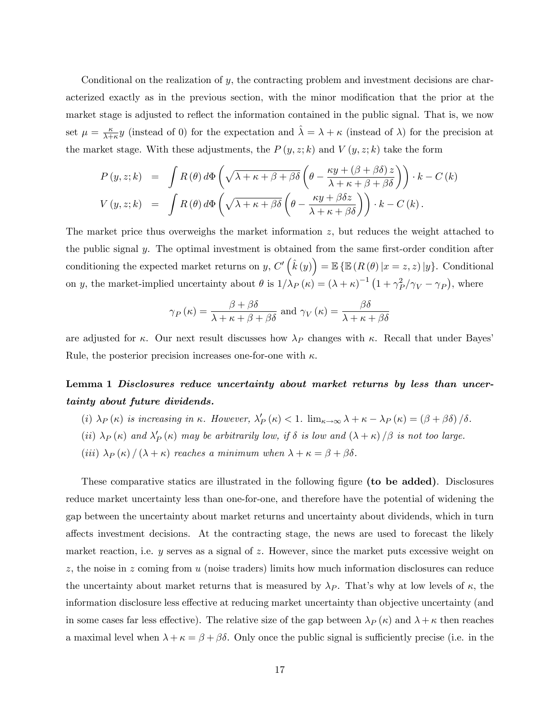Conditional on the realization of  $y$ , the contracting problem and investment decisions are characterized exactly as in the previous section, with the minor modification that the prior at the market stage is adjusted to reflect the information contained in the public signal. That is, we now set  $\mu = \frac{\kappa}{\lambda + \mu}$  $\frac{\kappa}{\lambda+\kappa}y$  (instead of 0) for the expectation and  $\hat{\lambda} = \lambda + \kappa$  (instead of  $\lambda$ ) for the precision at the market stage. With these adjustments, the  $P(y, z; k)$  and  $V(y, z; k)$  take the form

$$
P(y, z; k) = \int R(\theta) d\Phi \left( \sqrt{\lambda + \kappa + \beta + \beta \delta} \left( \theta - \frac{\kappa y + (\beta + \beta \delta) z}{\lambda + \kappa + \beta + \beta \delta} \right) \right) \cdot k - C(k)
$$
  

$$
V(y, z; k) = \int R(\theta) d\Phi \left( \sqrt{\lambda + \kappa + \beta \delta} \left( \theta - \frac{\kappa y + \beta \delta z}{\lambda + \kappa + \beta \delta} \right) \right) \cdot k - C(k).
$$

The market price thus overweighs the market information z, but reduces the weight attached to the public signal  $y$ . The optimal investment is obtained from the same first-order condition after conditioning the expected market returns on y,  $C'(\hat{k}(y)) = \mathbb{E} \{ \mathbb{E} (R(\theta) | x = z, z) | y \}$ . Conditional on y, the market-implied uncertainty about  $\theta$  is  $1/\lambda_P (\kappa) = (\lambda + \kappa)^{-1} (1 + \gamma_P^2/\gamma_V - \gamma_P)$ , where

$$
\gamma_P(\kappa) = \frac{\beta + \beta \delta}{\lambda + \kappa + \beta + \beta \delta}
$$
 and  $\gamma_V(\kappa) = \frac{\beta \delta}{\lambda + \kappa + \beta \delta}$ 

are adjusted for  $\kappa$ . Our next result discusses how  $\lambda_P$  changes with  $\kappa$ . Recall that under Bayes Rule, the posterior precision increases one-for-one with  $\kappa$ .

# Lemma 1 Disclosures reduce uncertainty about market returns by less than uncertainty about future dividends.

- (i)  $\lambda_P(\kappa)$  is increasing in  $\kappa$ . However,  $\lambda'_P(\kappa) < 1$ .  $\lim_{\kappa \to \infty} \lambda + \kappa \lambda_P(\kappa) = (\beta + \beta \delta) / \delta$ .
- (ii)  $\lambda_P(\kappa)$  and  $\lambda'_P(\kappa)$  may be arbitrarily low, if  $\delta$  is low and  $(\lambda + \kappa)/\beta$  is not too large.
- (iii)  $\lambda_P(\kappa) / (\lambda + \kappa)$  reaches a minimum when  $\lambda + \kappa = \beta + \beta \delta$ .

These comparative statics are illustrated in the following figure (to be added). Disclosures reduce market uncertainty less than one-for-one, and therefore have the potential of widening the gap between the uncertainty about market returns and uncertainty about dividends, which in turn affects investment decisions. At the contracting stage, the news are used to forecast the likely market reaction, i.e. y serves as a signal of z. However, since the market puts excessive weight on z, the noise in z coming from u (noise traders) limits how much information disclosures can reduce the uncertainty about market returns that is measured by  $\lambda_P$ . That's why at low levels of  $\kappa$ , the information disclosure less effective at reducing market uncertainty than objective uncertainty (and in some cases far less effective). The relative size of the gap between  $\lambda_P (\kappa)$  and  $\lambda + \kappa$  then reaches a maximal level when  $\lambda + \kappa = \beta + \beta \delta$ . Only once the public signal is sufficiently precise (i.e. in the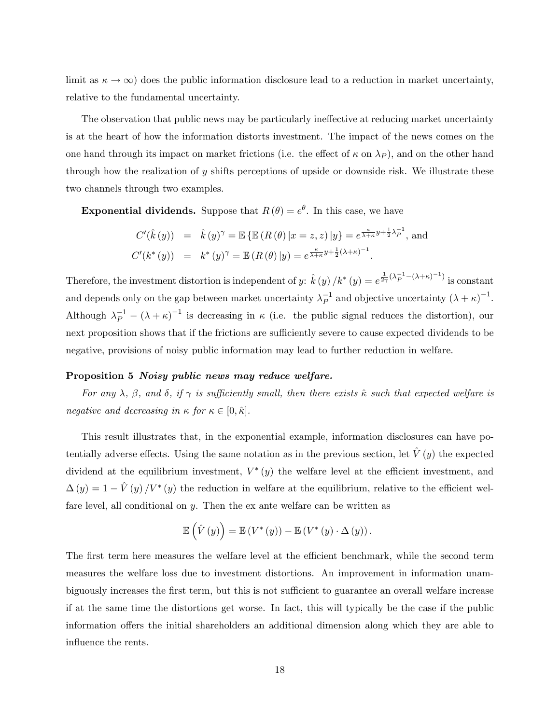limit as  $\kappa \to \infty$ ) does the public information disclosure lead to a reduction in market uncertainty, relative to the fundamental uncertainty.

The observation that public news may be particularly ineffective at reducing market uncertainty is at the heart of how the information distorts investment. The impact of the news comes on the one hand through its impact on market frictions (i.e. the effect of  $\kappa$  on  $\lambda_P$ ), and on the other hand through how the realization of y shifts perceptions of upside or downside risk. We illustrate these two channels through two examples.

**Exponential dividends.** Suppose that  $R(\theta) = e^{\theta}$ . In this case, we have

$$
C'(\hat{k}(y)) = \hat{k}(y)^{\gamma} = \mathbb{E} \{ \mathbb{E} (R(\theta) | x = z, z) | y \} = e^{\frac{\kappa}{\lambda + \kappa} y + \frac{1}{2} \lambda_P^{-1}}, \text{ and}
$$
  

$$
C'(k^*(y)) = k^*(y)^{\gamma} = \mathbb{E} (R(\theta) | y) = e^{\frac{\kappa}{\lambda + \kappa} y + \frac{1}{2} (\lambda + \kappa)^{-1}}.
$$

Therefore, the investment distortion is independent of y:  $\hat{k}(y) / k^*(y) = e^{\frac{1}{2\gamma}(\lambda - \lambda + \kappa)^{-1}}$  is constant and depends only on the gap between market uncertainty  $\lambda_P^{-1}$  and objective uncertainty  $(\lambda + \kappa)^{-1}$ . Although  $\lambda_P^{-1} - (\lambda + \kappa)^{-1}$  is decreasing in  $\kappa$  (i.e. the public signal reduces the distortion), our next proposition shows that if the frictions are sufficiently severe to cause expected dividends to be negative, provisions of noisy public information may lead to further reduction in welfare.

#### Proposition 5 Noisy public news may reduce welfare.

For any  $\lambda$ ,  $\beta$ , and  $\delta$ , if  $\gamma$  is sufficiently small, then there exists  $\hat{\kappa}$  such that expected welfare is negative and decreasing in  $\kappa$  for  $\kappa \in [0, \hat{\kappa}].$ 

This result illustrates that, in the exponential example, information disclosures can have potentially adverse effects. Using the same notation as in the previous section, let  $\hat{V} (y)$  the expected dividend at the equilibrium investment,  $V^*(y)$  the welfare level at the efficient investment, and  $\Delta(y) = 1 - \hat{V}(y) / V^*(y)$  the reduction in welfare at the equilibrium, relative to the efficient welfare level, all conditional on y. Then the ex ante welfare can be written as

$$
\mathbb{E}\left(\hat{V}\left(y\right)\right) = \mathbb{E}\left(V^*\left(y\right)\right) - \mathbb{E}\left(V^*\left(y\right)\cdot\Delta\left(y\right)\right).
$$

The first term here measures the welfare level at the efficient benchmark, while the second term measures the welfare loss due to investment distortions. An improvement in information unambiguously increases the first term, but this is not sufficient to guarantee an overall welfare increase if at the same time the distortions get worse. In fact, this will typically be the case if the public information offers the initial shareholders an additional dimension along which they are able to influence the rents.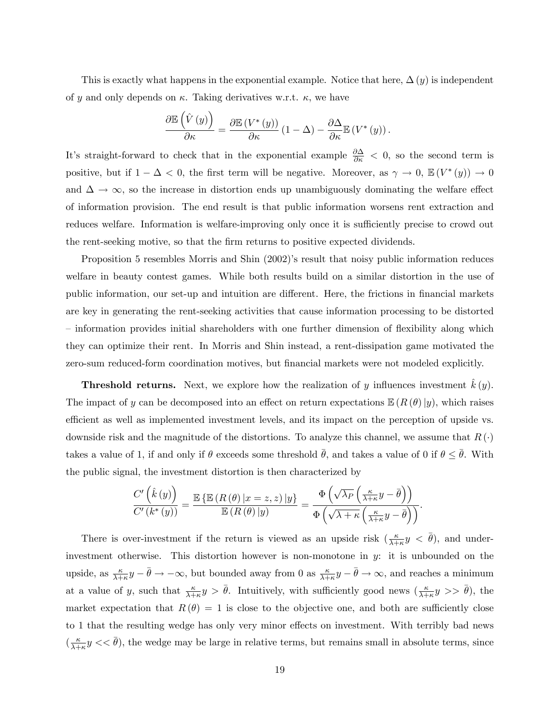This is exactly what happens in the exponential example. Notice that here,  $\Delta(y)$  is independent of y and only depends on  $\kappa$ . Taking derivatives w.r.t.  $\kappa$ , we have

$$
\frac{\partial \mathbb{E}\left(\hat{V}\left(y\right)\right)}{\partial \kappa} = \frac{\partial \mathbb{E}\left(V^*\left(y\right)\right)}{\partial \kappa}\left(1-\Delta\right) - \frac{\partial \Delta}{\partial \kappa} \mathbb{E}\left(V^*\left(y\right)\right).
$$

It's straight-forward to check that in the exponential example  $\frac{\partial \Delta}{\partial \kappa} < 0$ , so the second term is positive, but if  $1 - \Delta < 0$ , the first term will be negative. Moreover, as  $\gamma \to 0$ ,  $\mathbb{E}(V^*(y)) \to 0$ and  $\Delta \to \infty$ , so the increase in distortion ends up unambiguously dominating the welfare effect of information provision. The end result is that public information worsens rent extraction and reduces welfare. Information is welfare-improving only once it is sufficiently precise to crowd out the rent-seeking motive, so that the Örm returns to positive expected dividends.

Proposition 5 resembles Morris and Shin (2002)'s result that noisy public information reduces welfare in beauty contest games. While both results build on a similar distortion in the use of public information, our set-up and intuition are different. Here, the frictions in financial markets are key in generating the rent-seeking activities that cause information processing to be distorted – information provides initial shareholders with one further dimension of flexibility along which they can optimize their rent. In Morris and Shin instead, a rent-dissipation game motivated the zero-sum reduced-form coordination motives, but financial markets were not modeled explicitly.

**Threshold returns.** Next, we explore how the realization of y influences investment  $k(y)$ . The impact of y can be decomposed into an effect on return expectations  $\mathbb{E}(R(\theta)|y)$ , which raises efficient as well as implemented investment levels, and its impact on the perception of upside vs. downside risk and the magnitude of the distortions. To analyze this channel, we assume that  $R(\cdot)$ takes a value of 1, if and only if  $\theta$  exceeds some threshold  $\bar{\theta}$ , and takes a value of 0 if  $\theta \leq \theta$ . With the public signal, the investment distortion is then characterized by

$$
\frac{C'\left(\hat{k}\left(y\right)\right)}{C'\left(k^{*}\left(y\right)\right)}=\frac{\mathbb{E}\left\{\mathbb{E}\left(R\left(\theta\right)|x=z,z\right)|y\right\}}{\mathbb{E}\left(R\left(\theta\right)|y\right)}=\frac{\Phi\left(\sqrt{\lambda_{P}}\left(\frac{\kappa}{\lambda+\kappa}y-\bar{\theta}\right)\right)}{\Phi\left(\sqrt{\lambda+\kappa}\left(\frac{\kappa}{\lambda+\kappa}y-\bar{\theta}\right)\right)}.
$$

There is over-investment if the return is viewed as an upside risk  $(\frac{\kappa}{\lambda+\kappa}y < \bar{\theta})$ , and underinvestment otherwise. This distortion however is non-monotone in  $y$ : it is unbounded on the upside, as  $\frac{\kappa}{\lambda+\kappa}y-\bar{\theta}\to-\infty$ , but bounded away from 0 as  $\frac{\kappa}{\lambda+\kappa}y-\bar{\theta}\to\infty$ , and reaches a minimum at a value of y, such that  $\frac{\kappa}{\lambda+\kappa}y > \bar{\theta}$ . Intuitively, with sufficiently good news  $\left(\frac{\kappa}{\lambda+\kappa}y \right) > \bar{\theta}$ , the market expectation that  $R(\theta) = 1$  is close to the objective one, and both are sufficiently close to 1 that the resulting wedge has only very minor effects on investment. With terribly bad news  $\left(\frac{\kappa}{\lambda+1}\right)$  $\frac{\kappa}{\lambda+\kappa}y << \bar{\theta}$ , the wedge may be large in relative terms, but remains small in absolute terms, since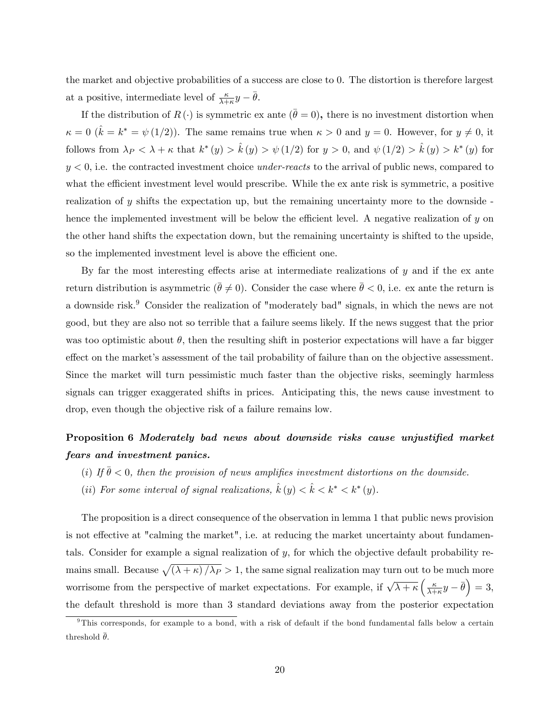the market and objective probabilities of a success are close to 0. The distortion is therefore largest at a positive, intermediate level of  $\frac{\kappa}{\lambda+\kappa}y-\overline{\theta}$ .

If the distribution of  $R(\cdot)$  is symmetric ex ante  $(\bar{\theta} = 0)$ , there is no investment distortion when  $\kappa = 0$  ( $\hat{k} = k^* = \psi(1/2)$ ). The same remains true when  $\kappa > 0$  and  $y = 0$ . However, for  $y \neq 0$ , it follows from  $\lambda_P < \lambda + \kappa$  that  $k^*(y) > \hat{k}(y) > \psi(1/2)$  for  $y > 0$ , and  $\psi(1/2) > \hat{k}(y) > k^*(y)$  for  $y < 0$ , i.e. the contracted investment choice *under-reacts* to the arrival of public news, compared to what the efficient investment level would prescribe. While the ex ante risk is symmetric, a positive realization of y shifts the expectation up, but the remaining uncertainty more to the downside hence the implemented investment will be below the efficient level. A negative realization of  $y$  on the other hand shifts the expectation down, but the remaining uncertainty is shifted to the upside, so the implemented investment level is above the efficient one.

By far the most interesting effects arise at intermediate realizations of  $y$  and if the ex ante return distribution is asymmetric  $(\bar{\theta} \neq 0)$ . Consider the case where  $\bar{\theta} < 0$ , i.e. ex ante the return is a downside risk.<sup>9</sup> Consider the realization of "moderately bad" signals, in which the news are not good, but they are also not so terrible that a failure seems likely. If the news suggest that the prior was too optimistic about  $\theta$ , then the resulting shift in posterior expectations will have a far bigger effect on the market's assessment of the tail probability of failure than on the objective assessment. Since the market will turn pessimistic much faster than the objective risks, seemingly harmless signals can trigger exaggerated shifts in prices. Anticipating this, the news cause investment to drop, even though the objective risk of a failure remains low.

# Proposition 6 Moderately bad news about downside risks cause unjustified market fears and investment panics.

- (i) If  $\bar{\theta}$  < 0, then the provision of news amplifies investment distortions on the downside.
- (ii) For some interval of signal realizations,  $\hat{k}(y) < \hat{k} < k^* < k^*(y)$ .

The proposition is a direct consequence of the observation in lemma 1 that public news provision is not effective at "calming the market", i.e. at reducing the market uncertainty about fundamentals. Consider for example a signal realization of y, for which the objective default probability remains small. Because  $\sqrt{(\lambda + \kappa)/\lambda_P} > 1$ , the same signal realization may turn out to be much more worrisome from the perspective of market expectations. For example, if  $\sqrt{\lambda + \kappa} \left( \frac{\kappa}{\lambda + \kappa} \right)$  $\frac{\kappa}{\lambda+\kappa}y-\bar{\theta}\Big)=3,$ the default threshold is more than 3 standard deviations away from the posterior expectation

<sup>&</sup>lt;sup>9</sup>This corresponds, for example to a bond, with a risk of default if the bond fundamental falls below a certain threshold  $\bar{\theta}$ .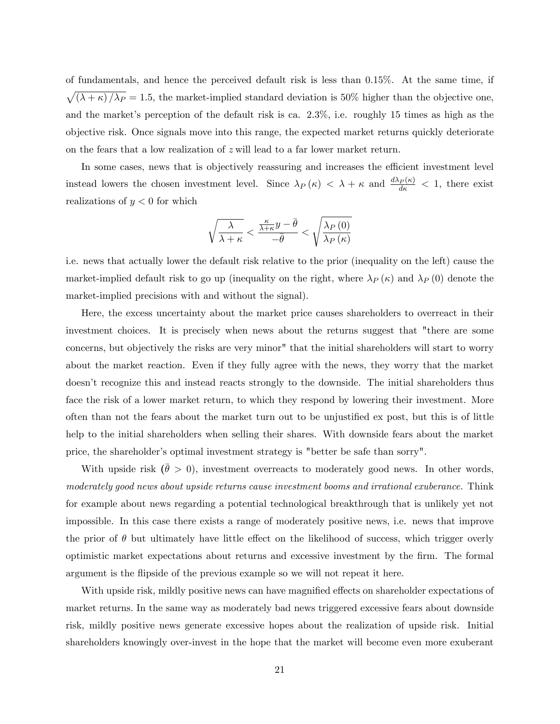of fundamentals, and hence the perceived default risk is less than 0.15%. At the same time, if  $\sqrt{(\lambda + \kappa)/\lambda_P} = 1.5$ , the market-implied standard deviation is 50% higher than the objective one, and the market's perception of the default risk is ca.  $2.3\%$ , i.e. roughly 15 times as high as the objective risk. Once signals move into this range, the expected market returns quickly deteriorate on the fears that a low realization of z will lead to a far lower market return.

In some cases, news that is objectively reassuring and increases the efficient investment level instead lowers the chosen investment level. Since  $\lambda_P(\kappa) < \lambda + \kappa$  and  $\frac{d\lambda_P(\kappa)}{d\kappa} < 1$ , there exist realizations of  $y < 0$  for which

$$
\sqrt{\frac{\lambda}{\lambda+\kappa}} < \frac{\frac{\kappa}{\lambda+\kappa}y-\bar{\theta}}{-\bar{\theta}} < \sqrt{\frac{\lambda_{P}\left(0\right)}{\lambda_{P}\left(\kappa\right)}}
$$

i.e. news that actually lower the default risk relative to the prior (inequality on the left) cause the market-implied default risk to go up (inequality on the right, where  $\lambda_P (\kappa)$  and  $\lambda_P (0)$  denote the market-implied precisions with and without the signal).

Here, the excess uncertainty about the market price causes shareholders to overreact in their investment choices. It is precisely when news about the returns suggest that "there are some concerns, but objectively the risks are very minor" that the initial shareholders will start to worry about the market reaction. Even if they fully agree with the news, they worry that the market doesnít recognize this and instead reacts strongly to the downside. The initial shareholders thus face the risk of a lower market return, to which they respond by lowering their investment. More often than not the fears about the market turn out to be unjustified ex post, but this is of little help to the initial shareholders when selling their shares. With downside fears about the market price, the shareholder's optimal investment strategy is "better be safe than sorry".

With upside risk  $(\bar{\theta} > 0)$ , investment overreacts to moderately good news. In other words, moderately good news about upside returns cause investment booms and irrational exuberance. Think for example about news regarding a potential technological breakthrough that is unlikely yet not impossible. In this case there exists a range of moderately positive news, i.e. news that improve the prior of  $\theta$  but ultimately have little effect on the likelihood of success, which trigger overly optimistic market expectations about returns and excessive investment by the Örm. The formal argument is the flipside of the previous example so we will not repeat it here.

With upside risk, mildly positive news can have magnified effects on shareholder expectations of market returns. In the same way as moderately bad news triggered excessive fears about downside risk, mildly positive news generate excessive hopes about the realization of upside risk. Initial shareholders knowingly over-invest in the hope that the market will become even more exuberant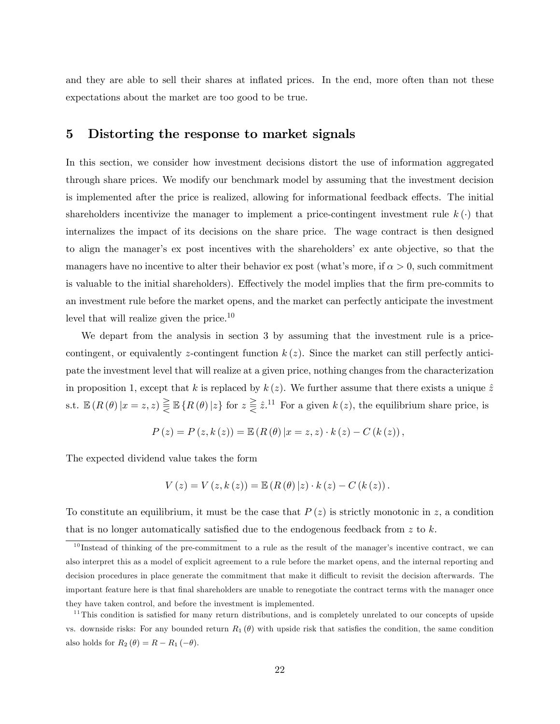and they are able to sell their shares at inflated prices. In the end, more often than not these expectations about the market are too good to be true.

### 5 Distorting the response to market signals

In this section, we consider how investment decisions distort the use of information aggregated through share prices. We modify our benchmark model by assuming that the investment decision is implemented after the price is realized, allowing for informational feedback effects. The initial shareholders incentivize the manager to implement a price-contingent investment rule  $k(\cdot)$  that internalizes the impact of its decisions on the share price. The wage contract is then designed to align the manager's ex post incentives with the shareholders' ex ante objective, so that the managers have no incentive to alter their behavior ex post (what's more, if  $\alpha > 0$ , such commitment is valuable to the initial shareholders). Effectively the model implies that the firm pre-commits to an investment rule before the market opens, and the market can perfectly anticipate the investment level that will realize given the price.<sup>10</sup>

We depart from the analysis in section 3 by assuming that the investment rule is a pricecontingent, or equivalently z-contingent function  $k(z)$ . Since the market can still perfectly anticipate the investment level that will realize at a given price, nothing changes from the characterization in proposition 1, except that k is replaced by  $k(z)$ . We further assume that there exists a unique  $\hat{z}$ s.t.  $\mathbb{E}(R(\theta)|x=z,z) \geq \mathbb{E}\left\{R(\theta)|z\right\}$  for  $z \geq z^{.11}$  For a given  $k(z)$ , the equilibrium share price, is

$$
P(z) = P(z, k(z)) = \mathbb{E} (R(\theta) | x = z, z) \cdot k(z) - C(k(z)),
$$

The expected dividend value takes the form

$$
V(z) = V(z, k(z)) = \mathbb{E} (R(\theta) | z) \cdot k(z) - C(k(z)).
$$

To constitute an equilibrium, it must be the case that  $P(z)$  is strictly monotonic in z, a condition that is no longer automatically satisfied due to the endogenous feedback from  $z$  to  $k$ .

 $10$  Instead of thinking of the pre-commitment to a rule as the result of the manager's incentive contract, we can also interpret this as a model of explicit agreement to a rule before the market opens, and the internal reporting and decision procedures in place generate the commitment that make it difficult to revisit the decision afterwards. The important feature here is that Önal shareholders are unable to renegotiate the contract terms with the manager once they have taken control, and before the investment is implemented.

<sup>&</sup>lt;sup>11</sup>This condition is satisfied for many return distributions, and is completely unrelated to our concepts of upside vs. downside risks: For any bounded return  $R_1(\theta)$  with upside risk that satisfies the condition, the same condition also holds for  $R_2(\theta) = R - R_1(-\theta)$ .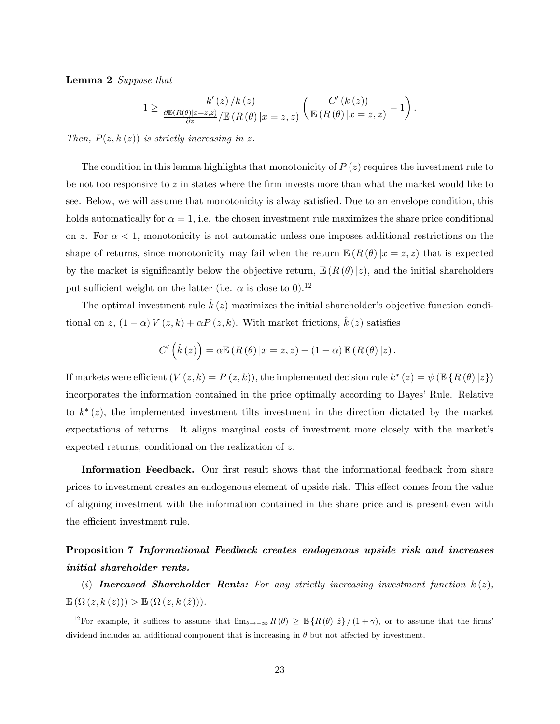Lemma 2 Suppose that

$$
1 \geq \frac{k'(z)/k(z)}{\frac{\partial \mathbb{E}(R(\theta)|x=z,z)}{\partial z}/\mathbb{E}\left(R(\theta)|x=z,z\right)} \left(\frac{C'(k(z))}{\mathbb{E}\left(R(\theta)|x=z,z\right)} - 1\right).
$$

Then,  $P(z, k(z))$  is strictly increasing in z.

The condition in this lemma highlights that monotonicity of  $P(z)$  requires the investment rule to be not too responsive to  $z$  in states where the firm invests more than what the market would like to see. Below, we will assume that monotonicity is alway satisfied. Due to an envelope condition, this holds automatically for  $\alpha = 1$ , i.e. the chosen investment rule maximizes the share price conditional on z. For  $\alpha < 1$ , monotonicity is not automatic unless one imposes additional restrictions on the shape of returns, since monotonicity may fail when the return  $\mathbb{E}(R(\theta)|x=z,z)$  that is expected by the market is significantly below the objective return,  $\mathbb{E}(R(\theta)|z)$ , and the initial shareholders put sufficient weight on the latter (i.e.  $\alpha$  is close to 0).<sup>12</sup>

The optimal investment rule  $k(z)$  maximizes the initial shareholder's objective function conditional on z,  $(1 - \alpha) V(z, k) + \alpha P(z, k)$ . With market frictions,  $\hat{k}(z)$  satisfies

$$
C'\left(\hat{k}\left(z\right)\right) = \alpha \mathbb{E}\left(R\left(\theta\right)|x=z,z\right) + \left(1-\alpha\right) \mathbb{E}\left(R\left(\theta\right)|z\right).
$$

If markets were efficient  $(V(z, k) = P(z, k))$ , the implemented decision rule  $k^*(z) = \psi(\mathbb{E}\{R(\theta)|z\})$ incorporates the information contained in the price optimally according to Bayes' Rule. Relative to  $k^*(z)$ , the implemented investment tilts investment in the direction dictated by the market expectations of returns. It aligns marginal costs of investment more closely with the market's expected returns, conditional on the realization of z.

Information Feedback. Our first result shows that the informational feedback from share prices to investment creates an endogenous element of upside risk. This effect comes from the value of aligning investment with the information contained in the share price and is present even with the efficient investment rule.

# Proposition 7 Informational Feedback creates endogenous upside risk and increases initial shareholder rents.

(i) Increased Shareholder Rents: For any strictly increasing investment function  $k(z)$ ,  $\mathbb{E}\left(\Omega\left(z,k\left(z\right)\right)\right) > \mathbb{E}\left(\Omega\left(z,k\left(\hat{z}\right)\right)\right).$ 

<sup>&</sup>lt;sup>12</sup>For example, it suffices to assume that  $\lim_{\theta\to-\infty} R(\theta) \geq \mathbb{E} \{R(\theta) | \hat{z}\} / (1 + \gamma)$ , or to assume that the firms dividend includes an additional component that is increasing in  $\theta$  but not affected by investment.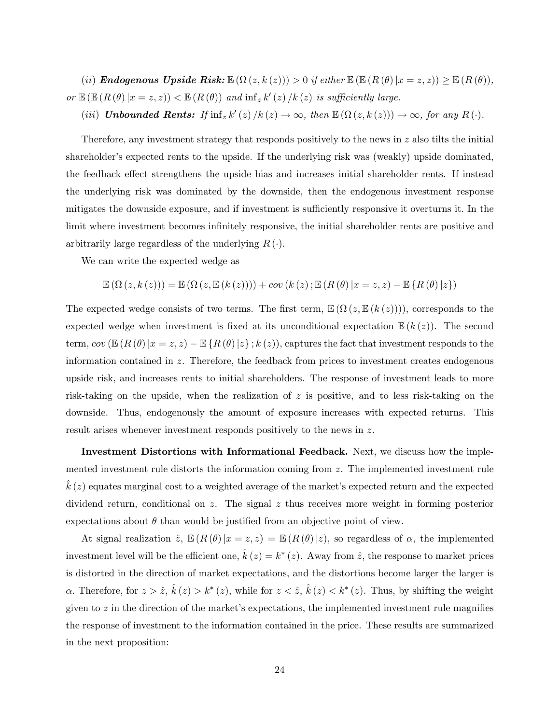(ii) **Endogenous Upside Risk:**  $\mathbb{E}(\Omega(z, k(z))) > 0$  if either  $\mathbb{E}(\mathbb{E}(R(\theta)|x = z, z)) \geq \mathbb{E}(R(\theta)),$ or  $\mathbb{E}\left(\mathbb{E}\left(R\left(\theta\right)|x=z,z\right)\right)<\mathbb{E}\left(R\left(\theta\right)\right)$  and  $\inf_{z} k'(z)/k(z)$  is sufficiently large.

(iii) **Unbounded Rents:** If  $\inf_z k'(z) / k(z) \to \infty$ , then  $\mathbb{E}(\Omega(z, k(z))) \to \infty$ , for any  $R(\cdot)$ .

Therefore, any investment strategy that responds positively to the news in  $z$  also tilts the initial shareholder's expected rents to the upside. If the underlying risk was (weakly) upside dominated. the feedback effect strengthens the upside bias and increases initial shareholder rents. If instead the underlying risk was dominated by the downside, then the endogenous investment response mitigates the downside exposure, and if investment is sufficiently responsive it overturns it. In the limit where investment becomes infinitely responsive, the initial shareholder rents are positive and arbitrarily large regardless of the underlying  $R(\cdot)$ .

We can write the expected wedge as

$$
\mathbb{E}(\Omega(z, k(z))) = \mathbb{E}(\Omega(z, \mathbb{E}(k(z)))) + cov(k(z); \mathbb{E}(R(\theta) | x = z, z) - \mathbb{E}\{R(\theta) | z\})
$$

The expected wedge consists of two terms. The first term,  $\mathbb{E}(\Omega(z,\mathbb{E}(k(z))))$ , corresponds to the expected wedge when investment is fixed at its unconditional expectation  $\mathbb{E}(k(z))$ . The second term,  $cov(\mathbb{E}(R(\theta)|x=z, z) - \mathbb{E}(R(\theta)|z); k(z))$ , captures the fact that investment responds to the information contained in z. Therefore, the feedback from prices to investment creates endogenous upside risk, and increases rents to initial shareholders. The response of investment leads to more risk-taking on the upside, when the realization of  $z$  is positive, and to less risk-taking on the downside. Thus, endogenously the amount of exposure increases with expected returns. This result arises whenever investment responds positively to the news in z.

Investment Distortions with Informational Feedback. Next, we discuss how the implemented investment rule distorts the information coming from z. The implemented investment rule  $k(z)$  equates marginal cost to a weighted average of the market's expected return and the expected dividend return, conditional on z. The signal z thus receives more weight in forming posterior expectations about  $\theta$  than would be justified from an objective point of view.

At signal realization  $\hat{z}$ ,  $\mathbb{E}(R (\theta)|x = z, z) = \mathbb{E}(R (\theta)|z)$ , so regardless of  $\alpha$ , the implemented investment level will be the efficient one,  $\hat{k}(z) = k^*(z)$ . Away from  $\hat{z}$ , the response to market prices is distorted in the direction of market expectations, and the distortions become larger the larger is  $\alpha$ . Therefore, for  $z > \hat{z}$ ,  $\hat{k}(z) > k^*(z)$ , while for  $z < \hat{z}$ ,  $\hat{k}(z) < k^*(z)$ . Thus, by shifting the weight given to  $z$  in the direction of the market's expectations, the implemented investment rule magnifies the response of investment to the information contained in the price. These results are summarized in the next proposition: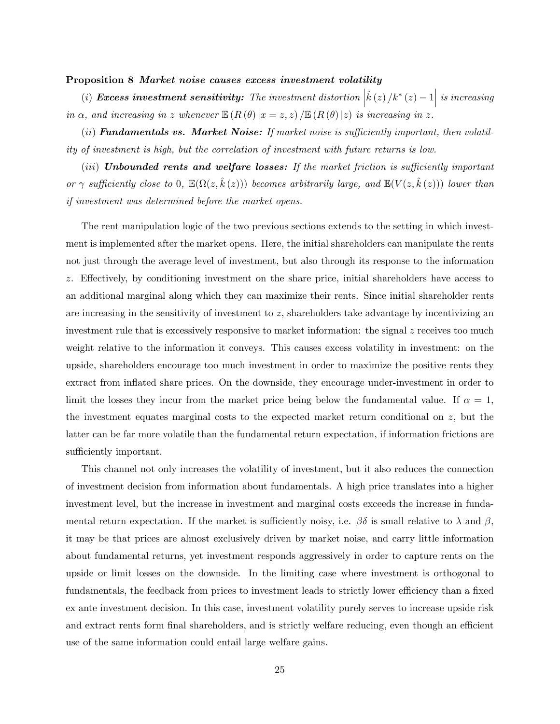#### Proposition 8 Market noise causes excess investment volatility

(i) Excess investment sensitivity: The investment distortion  $\left|\hat{k}\left(z\right)/k^{*}\left(z\right)-1\right|$  is increasing in  $\alpha$ , and increasing in z whenever  $\mathbb{E}(R(\theta)|x=z,z) / \mathbb{E}(R(\theta)|z)$  is increasing in z.

 $(iii)$  Fundamentals vs. Market Noise: If market noise is sufficiently important, then volatility of investment is high, but the correlation of investment with future returns is low.

 $(iii)$  Unbounded rents and welfare losses: If the market friction is sufficiently important or  $\gamma$  sufficiently close to 0,  $\mathbb{E}(\Omega(z, \hat{k}(z)))$  becomes arbitrarily large, and  $\mathbb{E}(V(z, \hat{k}(z)))$  lower than if investment was determined before the market opens.

The rent manipulation logic of the two previous sections extends to the setting in which investment is implemented after the market opens. Here, the initial shareholders can manipulate the rents not just through the average level of investment, but also through its response to the information  $z$ . Effectively, by conditioning investment on the share price, initial shareholders have access to an additional marginal along which they can maximize their rents. Since initial shareholder rents are increasing in the sensitivity of investment to z, shareholders take advantage by incentivizing an investment rule that is excessively responsive to market information: the signal z receives too much weight relative to the information it conveys. This causes excess volatility in investment: on the upside, shareholders encourage too much investment in order to maximize the positive rents they extract from inflated share prices. On the downside, they encourage under-investment in order to limit the losses they incur from the market price being below the fundamental value. If  $\alpha = 1$ , the investment equates marginal costs to the expected market return conditional on z, but the latter can be far more volatile than the fundamental return expectation, if information frictions are sufficiently important.

This channel not only increases the volatility of investment, but it also reduces the connection of investment decision from information about fundamentals. A high price translates into a higher investment level, but the increase in investment and marginal costs exceeds the increase in fundamental return expectation. If the market is sufficiently noisy, i.e.  $\beta\delta$  is small relative to  $\lambda$  and  $\beta$ , it may be that prices are almost exclusively driven by market noise, and carry little information about fundamental returns, yet investment responds aggressively in order to capture rents on the upside or limit losses on the downside. In the limiting case where investment is orthogonal to fundamentals, the feedback from prices to investment leads to strictly lower efficiency than a fixed ex ante investment decision. In this case, investment volatility purely serves to increase upside risk and extract rents form final shareholders, and is strictly welfare reducing, even though an efficient use of the same information could entail large welfare gains.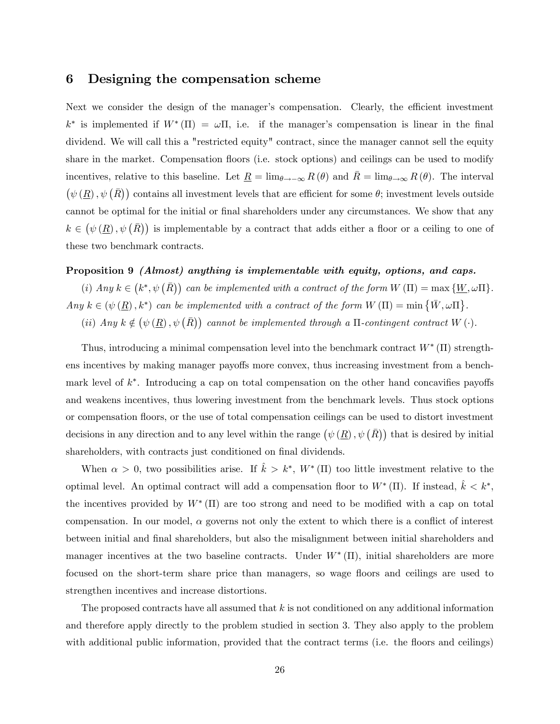### 6 Designing the compensation scheme

Next we consider the design of the manager's compensation. Clearly, the efficient investment  $k^*$  is implemented if  $W^*(\Pi) = \omega \Pi$ , i.e. if the manager's compensation is linear in the final dividend. We will call this a "restricted equity" contract, since the manager cannot sell the equity share in the market. Compensation floors (i.e. stock options) and ceilings can be used to modify incentives, relative to this baseline. Let  $\underline{R} = \lim_{\theta \to -\infty} R(\theta)$  and  $\overline{R} = \lim_{\theta \to \infty} R(\theta)$ . The interval  $(\psi(R), \psi(\overline{R}))$  contains all investment levels that are efficient for some  $\theta$ ; investment levels outside cannot be optimal for the initial or final shareholders under any circumstances. We show that any  $k \in (\psi(\underline{R}), \psi(\overline{R}))$  is implementable by a contract that adds either a floor or a ceiling to one of these two benchmark contracts.

### Proposition 9 (Almost) anything is implementable with equity, options, and caps.

(i) Any  $k \in (k^*, \psi(\overline{R}))$  can be implemented with a contract of the form  $W(\Pi) = \max \{W, \omega \Pi\}$ . Any  $k \in (\psi(\underline{R}), k^*)$  can be implemented with a contract of the form  $W(\Pi) = \min \{ \bar{W}, \omega \Pi \}.$ 

(ii) Any  $k \notin (\psi(\underline{R}), \psi(\overline{R}))$  cannot be implemented through a  $\Pi$ -contingent contract  $W(\cdot)$ .

Thus, introducing a minimal compensation level into the benchmark contract  $W^*$  (II) strengthens incentives by making manager payoffs more convex, thus increasing investment from a benchmark level of  $k^*$ . Introducing a cap on total compensation on the other hand concavifies payoffs and weakens incentives, thus lowering investment from the benchmark levels. Thus stock options or compensation áoors, or the use of total compensation ceilings can be used to distort investment decisions in any direction and to any level within the range  $(\psi(\underline{R}), \psi(\overline{R}))$  that is desired by initial shareholders, with contracts just conditioned on final dividends.

When  $\alpha > 0$ , two possibilities arise. If  $\hat{k} > k^*$ ,  $W^*$  (II) too little investment relative to the optimal level. An optimal contract will add a compensation floor to  $W^* (\Pi)$ . If instead,  $\hat{k} < k^*$ , the incentives provided by  $W^*(\Pi)$  are too strong and need to be modified with a cap on total compensation. In our model,  $\alpha$  governs not only the extent to which there is a conflict of interest between initial and final shareholders, but also the misalignment between initial shareholders and manager incentives at the two baseline contracts. Under  $W^*(\Pi)$ , initial shareholders are more focused on the short-term share price than managers, so wage floors and ceilings are used to strengthen incentives and increase distortions.

The proposed contracts have all assumed that  $k$  is not conditioned on any additional information and therefore apply directly to the problem studied in section 3. They also apply to the problem with additional public information, provided that the contract terms (i.e. the floors and ceilings)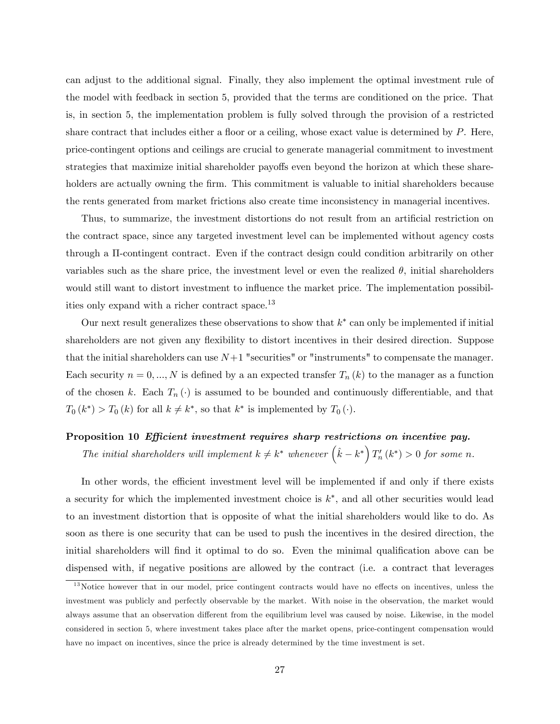can adjust to the additional signal. Finally, they also implement the optimal investment rule of the model with feedback in section 5, provided that the terms are conditioned on the price. That is, in section 5, the implementation problem is fully solved through the provision of a restricted share contract that includes either a floor or a ceiling, whose exact value is determined by  $P$ . Here, price-contingent options and ceilings are crucial to generate managerial commitment to investment strategies that maximize initial shareholder payoffs even beyond the horizon at which these shareholders are actually owning the firm. This commitment is valuable to initial shareholders because the rents generated from market frictions also create time inconsistency in managerial incentives.

Thus, to summarize, the investment distortions do not result from an artificial restriction on the contract space, since any targeted investment level can be implemented without agency costs through a  $\Pi$ -contingent contract. Even if the contract design could condition arbitrarily on other variables such as the share price, the investment level or even the realized  $\theta$ , initial shareholders would still want to distort investment to influence the market price. The implementation possibilities only expand with a richer contract space.<sup>13</sup>

Our next result generalizes these observations to show that  $k^*$  can only be implemented if initial shareholders are not given any flexibility to distort incentives in their desired direction. Suppose that the initial shareholders can use  $N+1$  "securities" or "instruments" to compensate the manager. Each security  $n = 0, ..., N$  is defined by a an expected transfer  $T_n(k)$  to the manager as a function of the chosen k. Each  $T_n(\cdot)$  is assumed to be bounded and continuously differentiable, and that  $T_0(k^*)$  >  $T_0(k)$  for all  $k \neq k^*$ , so that  $k^*$  is implemented by  $T_0(\cdot)$ .

### Proposition 10 Efficient investment requires sharp restrictions on incentive pay.

The initial shareholders will implement  $k \neq k^*$  whenever  $(\hat{k} - k^*) T'_n(k^*) > 0$  for some n.

In other words, the efficient investment level will be implemented if and only if there exists a security for which the implemented investment choice is  $k^*$ , and all other securities would lead to an investment distortion that is opposite of what the initial shareholders would like to do. As soon as there is one security that can be used to push the incentives in the desired direction, the initial shareholders will find it optimal to do so. Even the minimal qualification above can be dispensed with, if negative positions are allowed by the contract (i.e. a contract that leverages

 $13$ Notice however that in our model, price contingent contracts would have no effects on incentives, unless the investment was publicly and perfectly observable by the market. With noise in the observation, the market would always assume that an observation different from the equilibrium level was caused by noise. Likewise, in the model considered in section 5, where investment takes place after the market opens, price-contingent compensation would have no impact on incentives, since the price is already determined by the time investment is set.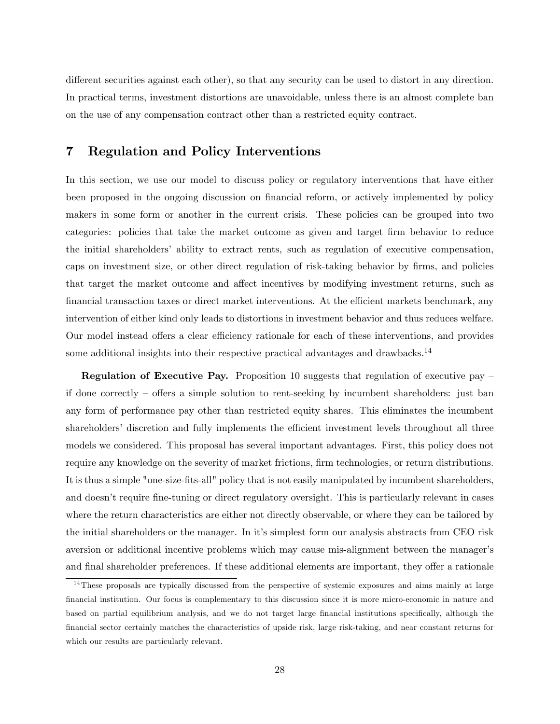different securities against each other), so that any security can be used to distort in any direction. In practical terms, investment distortions are unavoidable, unless there is an almost complete ban on the use of any compensation contract other than a restricted equity contract.

## 7 Regulation and Policy Interventions

In this section, we use our model to discuss policy or regulatory interventions that have either been proposed in the ongoing discussion on financial reform, or actively implemented by policy makers in some form or another in the current crisis. These policies can be grouped into two categories: policies that take the market outcome as given and target Örm behavior to reduce the initial shareholders' ability to extract rents, such as regulation of executive compensation, caps on investment size, or other direct regulation of risk-taking behavior by firms, and policies that target the market outcome and affect incentives by modifying investment returns, such as financial transaction taxes or direct market interventions. At the efficient markets benchmark, any intervention of either kind only leads to distortions in investment behavior and thus reduces welfare. Our model instead offers a clear efficiency rationale for each of these interventions, and provides some additional insights into their respective practical advantages and drawbacks.<sup>14</sup>

**Regulation of Executive Pay.** Proposition 10 suggests that regulation of executive pay  $\overline{\phantom{a}}$ if done correctly  $\sim$  offers a simple solution to rent-seeking by incumbent shareholders: just ban any form of performance pay other than restricted equity shares. This eliminates the incumbent shareholders' discretion and fully implements the efficient investment levels throughout all three models we considered. This proposal has several important advantages. First, this policy does not require any knowledge on the severity of market frictions, firm technologies, or return distributions. It is thus a simple "one-size-Öts-all" policy that is not easily manipulated by incumbent shareholders, and doesn't require fine-tuning or direct regulatory oversight. This is particularly relevant in cases where the return characteristics are either not directly observable, or where they can be tailored by the initial shareholders or the manager. In it's simplest form our analysis abstracts from CEO risk aversion or additional incentive problems which may cause mis-alignment between the manager's and final shareholder preferences. If these additional elements are important, they offer a rationale

 $14$ These proposals are typically discussed from the perspective of systemic exposures and aims mainly at large financial institution. Our focus is complementary to this discussion since it is more micro-economic in nature and based on partial equilibrium analysis, and we do not target large financial institutions specifically, although the Önancial sector certainly matches the characteristics of upside risk, large risk-taking, and near constant returns for which our results are particularly relevant.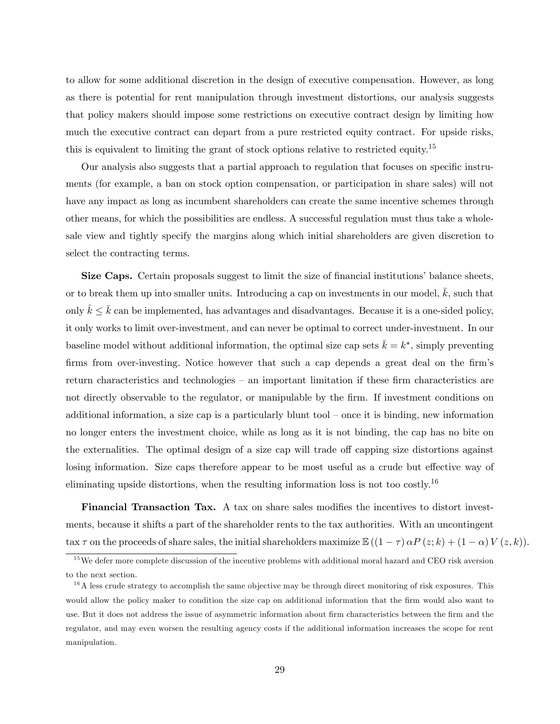to allow for some additional discretion in the design of executive compensation. However, as long as there is potential for rent manipulation through investment distortions, our analysis suggests that policy makers should impose some restrictions on executive contract design by limiting how much the executive contract can depart from a pure restricted equity contract. For upside risks, this is equivalent to limiting the grant of stock options relative to restricted equity.<sup>15</sup>

Our analysis also suggests that a partial approach to regulation that focuses on specific instruments (for example, a ban on stock option compensation, or participation in share sales) will not have any impact as long as incumbent shareholders can create the same incentive schemes through other means, for which the possibilities are endless. A successful regulation must thus take a wholesale view and tightly specify the margins along which initial shareholders are given discretion to select the contracting terms.

Size Caps. Certain proposals suggest to limit the size of financial institutions' balance sheets, or to break them up into smaller units. Introducing a cap on investments in our model,  $\bar{k}$ , such that only  $k \leq \bar{k}$  can be implemented, has advantages and disadvantages. Because it is a one-sided policy, it only works to limit over-investment, and can never be optimal to correct under-investment. In our baseline model without additional information, the optimal size cap sets  $\bar{k} = k^*$ , simply preventing firms from over-investing. Notice however that such a cap depends a great deal on the firm's return characteristics and technologies  $-$  an important limitation if these firm characteristics are not directly observable to the regulator, or manipulable by the firm. If investment conditions on additional information, a size cap is a particularly blunt tool  $-$  once it is binding, new information no longer enters the investment choice, while as long as it is not binding, the cap has no bite on the externalities. The optimal design of a size cap will trade off capping size distortions against losing information. Size caps therefore appear to be most useful as a crude but effective way of eliminating upside distortions, when the resulting information loss is not too costly.<sup>16</sup>

Financial Transaction Tax. A tax on share sales modifies the incentives to distort investments, because it shifts a part of the shareholder rents to the tax authorities. With an uncontingent tax  $\tau$  on the proceeds of share sales, the initial shareholders maximize  $\mathbb{E}((1 - \tau) \alpha P(z; k) + (1 - \alpha) V(z, k)).$ 

 $15$  We defer more complete discussion of the incentive problems with additional moral hazard and CEO risk aversion to the next section.

 $1<sup>6</sup>A$  less crude strategy to accomplish the same objective may be through direct monitoring of risk exposures. This would allow the policy maker to condition the size cap on additional information that the firm would also want to use. But it does not address the issue of asymmetric information about firm characteristics between the firm and the regulator, and may even worsen the resulting agency costs if the additional information increases the scope for rent manipulation.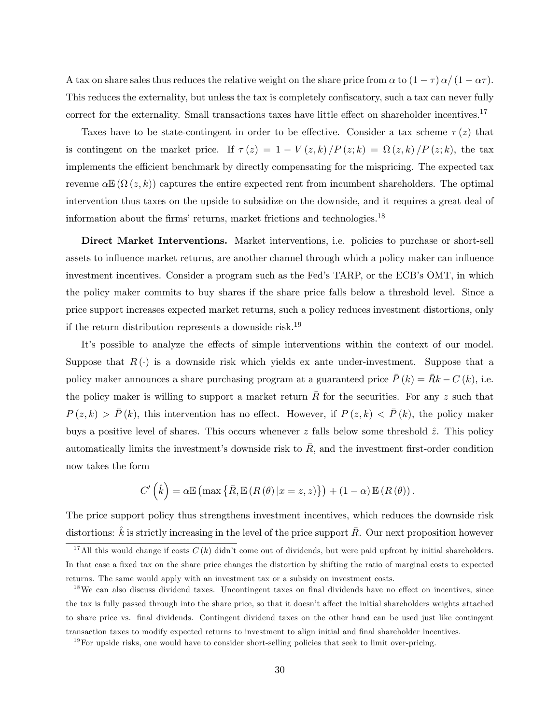A tax on share sales thus reduces the relative weight on the share price from  $\alpha$  to  $(1 - \tau) \alpha/(1 - \alpha \tau)$ . This reduces the externality, but unless the tax is completely confiscatory, such a tax can never fully correct for the externality. Small transactions taxes have little effect on shareholder incentives.<sup>17</sup>

Taxes have to be state-contingent in order to be effective. Consider a tax scheme  $\tau(z)$  that is contingent on the market price. If  $\tau(z) = 1 - V(z, k) / P(z; k) = \Omega(z, k) / P(z; k)$ , the tax implements the efficient benchmark by directly compensating for the mispricing. The expected tax revenue  $\alpha \mathbb{E}(\Omega(z,k))$  captures the entire expected rent from incumbent shareholders. The optimal intervention thus taxes on the upside to subsidize on the downside, and it requires a great deal of information about the firms' returns, market frictions and technologies.<sup>18</sup>

Direct Market Interventions. Market interventions, i.e. policies to purchase or short-sell assets to influence market returns, are another channel through which a policy maker can influence investment incentives. Consider a program such as the Fed's TARP, or the ECB's OMT, in which the policy maker commits to buy shares if the share price falls below a threshold level. Since a price support increases expected market returns, such a policy reduces investment distortions, only if the return distribution represents a downside risk.<sup>19</sup>

It's possible to analyze the effects of simple interventions within the context of our model. Suppose that  $R(\cdot)$  is a downside risk which yields ex ante under-investment. Suppose that a policy maker announces a share purchasing program at a guaranteed price  $\bar{P}(k) = \bar{R}k - C(k)$ , i.e. the policy maker is willing to support a market return  $\overline{R}$  for the securities. For any z such that  $P(z,k) > \bar{P}(k)$ , this intervention has no effect. However, if  $P(z,k) < \bar{P}(k)$ , the policy maker buys a positive level of shares. This occurs whenever z falls below some threshold  $\hat{z}$ . This policy automatically limits the investment's downside risk to  $\bar{R}$ , and the investment first-order condition now takes the form

$$
C'\left(\hat{k}\right) = \alpha \mathbb{E}\left(\max\left\{\bar{R}, \mathbb{E}\left(R\left(\theta\right)|x=z,z\right)\right\}\right) + \left(1-\alpha\right) \mathbb{E}\left(R\left(\theta\right)\right).
$$

The price support policy thus strengthens investment incentives, which reduces the downside risk distortions:  $\hat{k}$  is strictly increasing in the level of the price support  $\bar{R}$ . Our next proposition however

<sup>&</sup>lt;sup>17</sup>All this would change if costs  $C(k)$  didn't come out of dividends, but were paid upfront by initial shareholders. In that case a fixed tax on the share price changes the distortion by shifting the ratio of marginal costs to expected returns. The same would apply with an investment tax or a subsidy on investment costs.

 $18$ We can also discuss dividend taxes. Uncontingent taxes on final dividends have no effect on incentives, since the tax is fully passed through into the share price, so that it doesn't affect the initial shareholders weights attached to share price vs. final dividends. Contingent dividend taxes on the other hand can be used just like contingent transaction taxes to modify expected returns to investment to align initial and final shareholder incentives.

 $19$  For upside risks, one would have to consider short-selling policies that seek to limit over-pricing.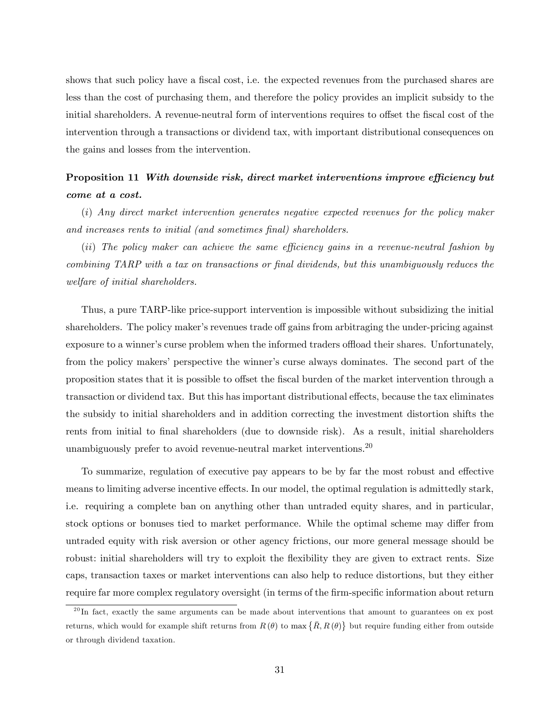shows that such policy have a fiscal cost, i.e. the expected revenues from the purchased shares are less than the cost of purchasing them, and therefore the policy provides an implicit subsidy to the initial shareholders. A revenue-neutral form of interventions requires to offset the fiscal cost of the intervention through a transactions or dividend tax, with important distributional consequences on the gains and losses from the intervention.

# Proposition 11 With downside risk, direct market interventions improve efficiency but come at a cost.

(i) Any direct market intervention generates negative expected revenues for the policy maker and increases rents to initial (and sometimes final) shareholders.

 $(ii)$  The policy maker can achieve the same efficiency gains in a revenue-neutral fashion by combining TARP with a tax on transactions or Önal dividends, but this unambiguously reduces the welfare of initial shareholders.

Thus, a pure TARP-like price-support intervention is impossible without subsidizing the initial shareholders. The policy maker's revenues trade off gains from arbitraging the under-pricing against exposure to a winner's curse problem when the informed traders offload their shares. Unfortunately, from the policy makers' perspective the winner's curse always dominates. The second part of the proposition states that it is possible to offset the fiscal burden of the market intervention through a transaction or dividend tax. But this has important distributional effects, because the tax eliminates the subsidy to initial shareholders and in addition correcting the investment distortion shifts the rents from initial to final shareholders (due to downside risk). As a result, initial shareholders unambiguously prefer to avoid revenue-neutral market interventions.<sup>20</sup>

To summarize, regulation of executive pay appears to be by far the most robust and effective means to limiting adverse incentive effects. In our model, the optimal regulation is admittedly stark, i.e. requiring a complete ban on anything other than untraded equity shares, and in particular, stock options or bonuses tied to market performance. While the optimal scheme may differ from untraded equity with risk aversion or other agency frictions, our more general message should be robust: initial shareholders will try to exploit the flexibility they are given to extract rents. Size caps, transaction taxes or market interventions can also help to reduce distortions, but they either require far more complex regulatory oversight (in terms of the firm-specific information about return

 $^{20}$ In fact, exactly the same arguments can be made about interventions that amount to guarantees on ex post returns, which would for example shift returns from  $R(\theta)$  to max  $\{\bar{R}, R(\theta)\}\$  but require funding either from outside or through dividend taxation.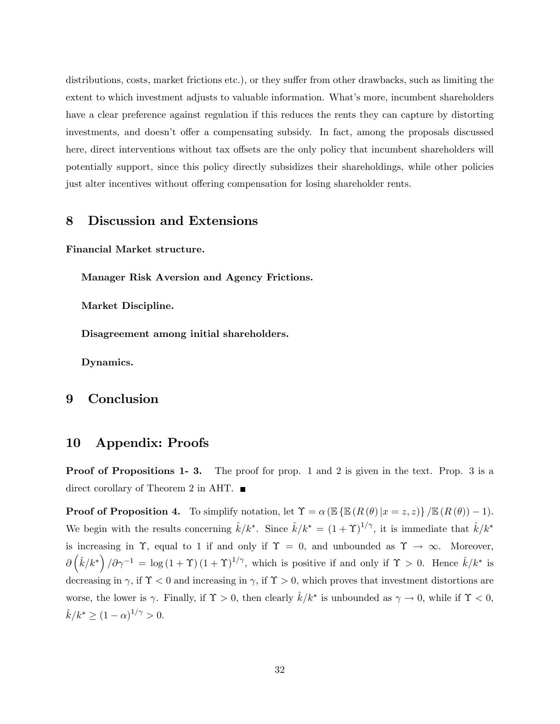distributions, costs, market frictions etc.), or they suffer from other drawbacks, such as limiting the extent to which investment adjusts to valuable information. What's more, incumbent shareholders have a clear preference against regulation if this reduces the rents they can capture by distorting investments, and doesn't offer a compensating subsidy. In fact, among the proposals discussed here, direct interventions without tax offsets are the only policy that incumbent shareholders will potentially support, since this policy directly subsidizes their shareholdings, while other policies just alter incentives without offering compensation for losing shareholder rents.

# 8 Discussion and Extensions

Financial Market structure.

Manager Risk Aversion and Agency Frictions.

Market Discipline.

Disagreement among initial shareholders.

Dynamics.

### 9 Conclusion

# 10 Appendix: Proofs

**Proof of Propositions 1- 3.** The proof for prop. 1 and 2 is given in the text. Prop. 3 is a direct corollary of Theorem 2 in AHT. ■

**Proof of Proposition 4.** To simplify notation, let  $\Upsilon = \alpha \left( \mathbb{E} \left\{ \mathbb{E} \left( R \left( \theta \right) | x = z, z \right) \right\} / \mathbb{E} \left( R \left( \theta \right) \right) - 1 \right)$ . We begin with the results concerning  $\hat{k}/k^*$ . Since  $\hat{k}/k^* = (1 + \Upsilon)^{1/\gamma}$ , it is immediate that  $\hat{k}/k^*$ is increasing in  $\Upsilon$ , equal to 1 if and only if  $\Upsilon = 0$ , and unbounded as  $\Upsilon \to \infty$ . Moreover,  $\partial (\hat{k}/k^*)/\partial \gamma^{-1} = \log (1+\Upsilon) (1+\Upsilon)^{1/\gamma}$ , which is positive if and only if  $\Upsilon > 0$ . Hence  $\hat{k}/k^*$  is decreasing in  $\gamma$ , if  $\Upsilon$  < 0 and increasing in  $\gamma$ , if  $\Upsilon$  > 0, which proves that investment distortions are worse, the lower is  $\gamma$ . Finally, if  $\Upsilon > 0$ , then clearly  $\hat{k}/k^*$  is unbounded as  $\gamma \to 0$ , while if  $\Upsilon < 0$ ,  $\hat{k}/k^* \ge (1 - \alpha)^{1/\gamma} > 0.$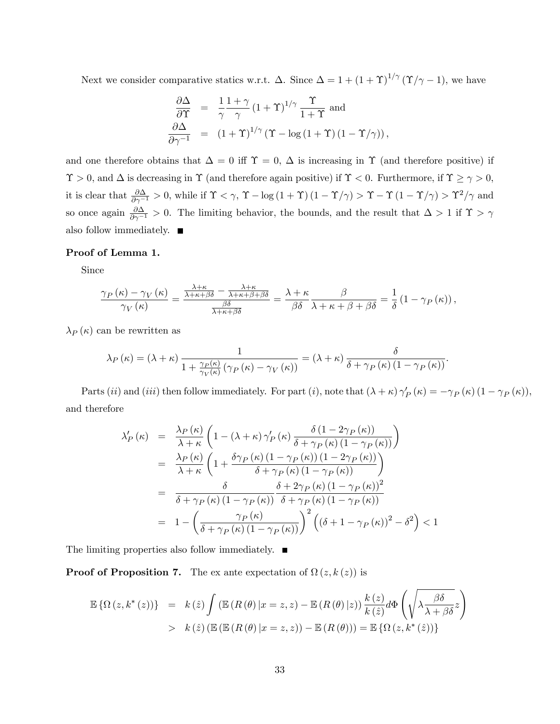Next we consider comparative statics w.r.t.  $\Delta$ . Since  $\Delta = 1 + (1 + \Upsilon)^{1/\gamma} (\Upsilon/\gamma - 1)$ , we have

$$
\begin{array}{rcl}\n\frac{\partial \Delta}{\partial \Upsilon} &=& \frac{1}{\gamma} \frac{1+\gamma}{\gamma} \left(1+\Upsilon\right)^{1/\gamma} \frac{\Upsilon}{1+\Upsilon} \text{ and} \\
\frac{\partial \Delta}{\partial \gamma^{-1}} &=& \left(1+\Upsilon\right)^{1/\gamma} \left(\Upsilon - \log\left(1+\Upsilon\right)\left(1-\Upsilon/\gamma\right)\right),\n\end{array}
$$

and one therefore obtains that  $\Delta = 0$  iff  $\Upsilon = 0$ ,  $\Delta$  is increasing in  $\Upsilon$  (and therefore positive) if  $\Upsilon > 0$ , and  $\Delta$  is decreasing in  $\Upsilon$  (and therefore again positive) if  $\Upsilon < 0$ . Furthermore, if  $\Upsilon \ge \gamma > 0$ , it is clear that  $\frac{\partial \Delta}{\partial \gamma^{-1}} > 0$ , while if  $\Upsilon < \gamma$ ,  $\Upsilon - \log(1 + \Upsilon)(1 - \Upsilon/\gamma) > \Upsilon - \Upsilon(1 - \Upsilon/\gamma) > \Upsilon^2/\gamma$  and so once again  $\frac{\partial \Delta}{\partial \gamma^{-1}} > 0$ . The limiting behavior, the bounds, and the result that  $\Delta > 1$  if  $\Upsilon > \gamma$ also follow immediately.  $\blacksquare$ 

#### Proof of Lemma 1.

Since

$$
\frac{\gamma_P(\kappa)-\gamma_V(\kappa)}{\gamma_V(\kappa)}=\frac{\frac{\lambda+\kappa}{\lambda+\kappa+\beta\delta}-\frac{\lambda+\kappa}{\lambda+\kappa+\beta+\beta\delta}}{\frac{\beta\delta}{\lambda+\kappa+\beta\delta}}=\frac{\lambda+\kappa}{\beta\delta}\frac{\beta}{\lambda+\kappa+\beta+\beta\delta}=\frac{1}{\delta}\left(1-\gamma_P(\kappa)\right),
$$

 $\lambda_P(\kappa)$  can be rewritten as

$$
\lambda_P(\kappa) = (\lambda + \kappa) \frac{1}{1 + \frac{\gamma_P(\kappa)}{\gamma_V(\kappa)} \left(\gamma_P(\kappa) - \gamma_V(\kappa)\right)} = (\lambda + \kappa) \frac{\delta}{\delta + \gamma_P(\kappa) \left(1 - \gamma_P(\kappa)\right)}.
$$

Parts (*ii*) and (*iii*) then follow immediately. For part (*i*), note that  $(\lambda + \kappa) \gamma'_{P}(\kappa) = -\gamma_{P}(\kappa) (1 - \gamma_{P}(\kappa))$ , and therefore

$$
\lambda'_{P}(\kappa) = \frac{\lambda_{P}(\kappa)}{\lambda + \kappa} \left( 1 - (\lambda + \kappa) \gamma'_{P}(\kappa) \frac{\delta (1 - 2\gamma_{P}(\kappa))}{\delta + \gamma_{P}(\kappa) (1 - \gamma_{P}(\kappa))} \right)
$$
  
\n
$$
= \frac{\lambda_{P}(\kappa)}{\lambda + \kappa} \left( 1 + \frac{\delta \gamma_{P}(\kappa) (1 - \gamma_{P}(\kappa)) (1 - 2\gamma_{P}(\kappa))}{\delta + \gamma_{P}(\kappa) (1 - \gamma_{P}(\kappa))} \right)
$$
  
\n
$$
= \frac{\delta}{\delta + \gamma_{P}(\kappa) (1 - \gamma_{P}(\kappa))} \frac{\delta + 2\gamma_{P}(\kappa) (1 - \gamma_{P}(\kappa))^{2}}{\delta + \gamma_{P}(\kappa) (1 - \gamma_{P}(\kappa))}
$$
  
\n
$$
= 1 - \left( \frac{\gamma_{P}(\kappa)}{\delta + \gamma_{P}(\kappa) (1 - \gamma_{P}(\kappa))} \right)^{2} \left( (\delta + 1 - \gamma_{P}(\kappa))^{2} - \delta^{2} \right) < 1
$$

The limiting properties also follow immediately.  $\blacksquare$ 

**Proof of Proposition 7.** The ex ante expectation of  $\Omega(z, k(z))$  is

$$
\mathbb{E}\left\{\Omega\left(z,k^*(z)\right)\right\} = k(\hat{z})\int \left(\mathbb{E}\left(R\left(\theta\right)|x=z,z\right) - \mathbb{E}\left(R\left(\theta\right)|z\right)\right) \frac{k(z)}{k(\hat{z})} d\Phi\left(\sqrt{\lambda \frac{\beta \delta}{\lambda + \beta \delta}}z\right) > k(\hat{z})\left(\mathbb{E}\left(\mathbb{E}\left(R\left(\theta\right)|x=z,z\right)\right) - \mathbb{E}\left(R\left(\theta\right)\right)\right) = \mathbb{E}\left\{\Omega\left(z,k^*(\hat{z})\right)\right\}
$$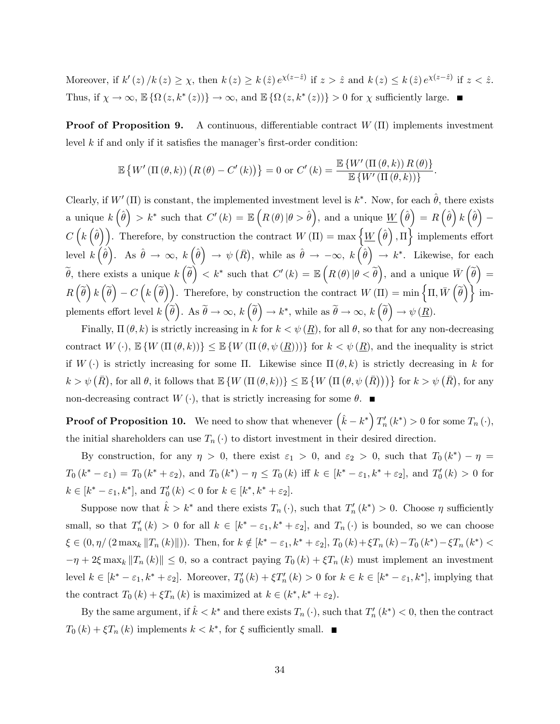Moreover, if  $k'(z)/k(z) \geq \chi$ , then  $k(z) \geq k(\hat{z}) e^{\chi(z-\hat{z})}$  if  $z > \hat{z}$  and  $k(z) \leq k(\hat{z}) e^{\chi(z-\hat{z})}$  if  $z < \hat{z}$ . Thus, if  $\chi \to \infty$ ,  $\mathbb{E} \{ \Omega (z, k^* (z)) \} \to \infty$ , and  $\mathbb{E} \{ \Omega (z, k^* (z)) \} > 0$  for  $\chi$  sufficiently large.

**Proof of Proposition 9.** A continuous, differentiable contract  $W(\Pi)$  implements investment level  $k$  if and only if it satisfies the manager's first-order condition:

$$
\mathbb{E}\left\{W'\left(\Pi\left(\theta,k\right)\right)\left(R\left(\theta\right)-C'\left(k\right)\right)\right\}=0\text{ or }C'\left(k\right)=\frac{\mathbb{E}\left\{W'\left(\Pi\left(\theta,k\right)\right)R\left(\theta\right)\right\}}{\mathbb{E}\left\{W'\left(\Pi\left(\theta,k\right)\right)\right\}}.
$$

Clearly, if  $W'(\Pi)$  is constant, the implemented investment level is  $k^*$ . Now, for each  $\hat{\theta}$ , there exists a unique  $k(\hat{\theta}) > k^*$  such that  $C'(k) = \mathbb{E}\left(R(\theta) \, | \theta > \hat{\theta}\right)$ , and a unique  $\underline{W}\left(\hat{\theta}\right) = R\left(\hat{\theta}\right)k\left(\hat{\theta}\right)$ Ξ  $C\left(k\left(\hat{\theta}\right)\right)$ . Therefore, by construction the contract  $W(\Pi) = \max\left\{\underline{W}\left(\hat{\theta}\right),\Pi\right\}$  implements effort level  $k(\hat{\theta})$ . As  $\hat{\theta} \to \infty$ ,  $k(\hat{\theta}) \to \psi(\bar{R})$ , while as  $\hat{\theta} \to -\infty$ ,  $k(\hat{\theta}) \to k^*$ . Likewise, for each  $\widetilde{\theta}$ , there exists a unique  $k(\widetilde{\theta}) < k^*$  such that  $C'(k) = \mathbb{E}\left(R(\theta) | \theta < \widetilde{\theta}\right)$ , and a unique  $\overline{W}(\widetilde{\theta}) =$  $R\left(\widetilde{\theta}\right)k\left(\widetilde{\theta}\right)-C\left(k\left(\widetilde{\theta}\right)\right).$  Therefore, by construction the contract  $W\left(\Pi\right)=\min\left\{ \Pi,\bar{W}\left(\widetilde{\theta}\right)\right\}$  implements effort level  $k(\tilde{\theta})$ . As  $\tilde{\theta} \to \infty$ ,  $k(\tilde{\theta}) \to k^*$ , while as  $\tilde{\theta} \to \infty$ ,  $k(\tilde{\theta}) \to \psi(\underline{R})$ .

Finally,  $\Pi(\theta, k)$  is strictly increasing in k for  $k < \psi(R)$ , for all  $\theta$ , so that for any non-decreasing contract  $W(\cdot), \mathbb{E}\{W(\Pi(\theta, k))\} \leq \mathbb{E}\{W(\Pi(\theta, \psi(\underline{R})))\}$  for  $k < \psi(\underline{R})$ , and the inequality is strict if  $W(\cdot)$  is strictly increasing for some  $\Pi$ . Likewise since  $\Pi(\theta, k)$  is strictly decreasing in k for  $k > \psi\left(\bar{R}\right)$ , for all  $\theta$ , it follows that  $\mathbb{E}\left\{W\left(\Pi\left(\theta, k\right)\right)\right\} \leq \mathbb{E}\left\{W\left(\Pi\left(\theta, \psi\left(\bar{R}\right)\right)\right)\right\}$  for  $k > \psi\left(\bar{R}\right)$ , for any non-decreasing contract  $W(\cdot)$ , that is strictly increasing for some  $\theta$ .

**Proof of Proposition 10.** We need to show that whenever  $(\hat{k} - k^*) T'_n(k^*) > 0$  for some  $T_n(\cdot)$ , the initial shareholders can use  $T_n(\cdot)$  to distort investment in their desired direction.

By construction, for any  $\eta > 0$ , there exist  $\varepsilon_1 > 0$ , and  $\varepsilon_2 > 0$ , such that  $T_0(k^*) - \eta =$  $T_0(k^* - \varepsilon_1) = T_0(k^* + \varepsilon_2)$ , and  $T_0(k^*) - \eta \le T_0(k)$  iff  $k \in [k^* - \varepsilon_1, k^* + \varepsilon_2]$ , and  $T_0'(k) > 0$  for  $k \in [k^* - \varepsilon_1, k^*],$  and  $T'_0(k) < 0$  for  $k \in [k^*, k^* + \varepsilon_2].$ 

Suppose now that  $\hat{k} > k^*$  and there exists  $T_n(\cdot)$ , such that  $T'_n(k^*) > 0$ . Choose  $\eta$  sufficiently small, so that  $T'_n(k) > 0$  for all  $k \in [k^* - \varepsilon_1, k^* + \varepsilon_2]$ , and  $T_n(\cdot)$  is bounded, so we can choose  $\xi \in (0, \eta / (2 \max_k ||T_n(k)||))$ . Then, for  $k \notin [k^* - \varepsilon_1, k^* + \varepsilon_2]$ ,  $T_0 (k) + \xi T_n (k) - T_0 (k^*) - \xi T_n (k^*) <$  $-\eta + 2\xi \max_k ||T_n(k)|| \leq 0$ , so a contract paying  $T_0 (k) + \xi T_n (k)$  must implement an investment level  $k \in [k^* - \varepsilon_1, k^* + \varepsilon_2]$ . Moreover,  $T_0'(k) + \xi T_n'(k) > 0$  for  $k \in k \in [k^* - \varepsilon_1, k^*]$ , implying that the contract  $T_0(k) + \xi T_n(k)$  is maximized at  $k \in (k^*, k^* + \varepsilon_2)$ .

By the same argument, if  $\hat{k} < k^*$  and there exists  $T_n(\cdot)$ , such that  $T'_n(k^*) < 0$ , then the contract  $T_0(k) + \xi T_n(k)$  implements  $k < k^*$ , for  $\xi$  sufficiently small.